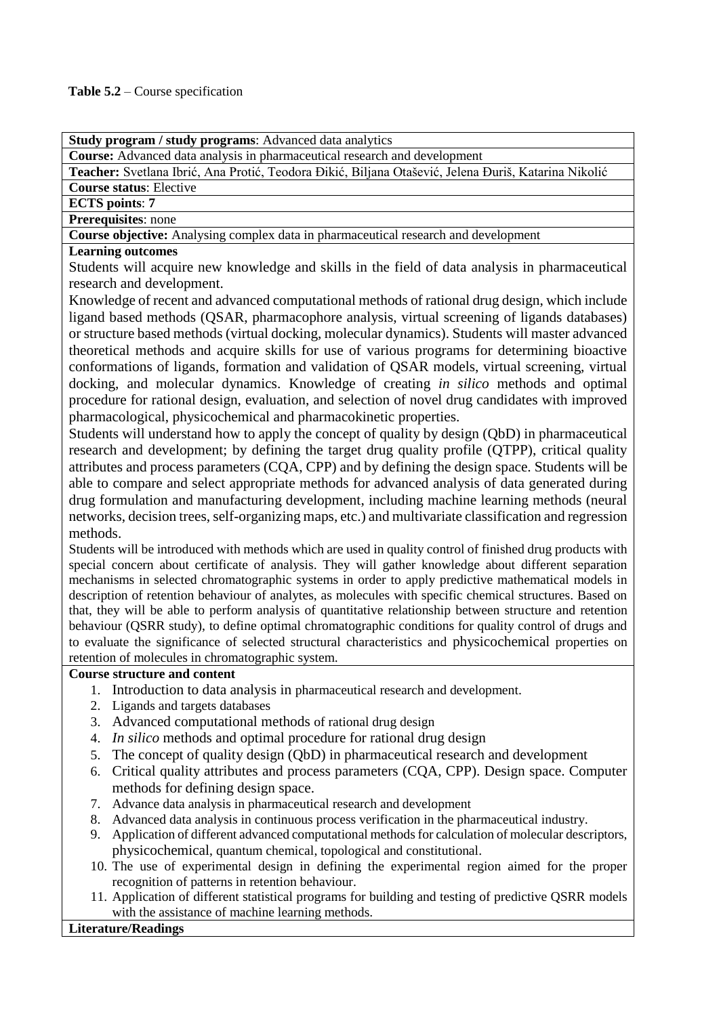**Course:** Advanced data analysis in pharmaceutical research and development

**Teacher:** Svetlana Ibrić, Ana Protić, Teodora Đikić, Biljana Otašević, Jelena Đuriš, Katarina Nikolić

**Course status**: Elective

**ECTS points**: **7**

**Prerequisites**: none

**Course objective:** Analysing complex data in pharmaceutical research and development

### **Learning outcomes**

Students will acquire new knowledge and skills in the field of data analysis in pharmaceutical research and development.

Knowledge of recent and advanced computational methods of rational drug design, which include ligand based methods (QSAR, pharmacophore analysis, virtual screening of ligands databases) or structure based methods (virtual docking, molecular dynamics). Students will master advanced theoretical methods and acquire skills for use of various programs for determining bioactive conformations of ligands, formation and validation of QSAR models, virtual screening, virtual docking, and molecular dynamics. Knowledge of creating *in silico* methods and optimal procedure for rational design, evaluation, and selection of novel drug candidates with improved pharmacological, physicochemical and pharmacokinetic properties.

Students will understand how to apply the concept of quality by design (QbD) in pharmaceutical research and development; by defining the target drug quality profile (QTPP), critical quality attributes and process parameters (CQA, CPP) and by defining the design space. Students will be able to compare and select appropriate methods for advanced analysis of data generated during drug formulation and manufacturing development, including machine learning methods (neural networks, decision trees, self-organizing maps, etc.) and multivariate classification and regression methods.

Students will be introduced with methods which are used in quality control of finished drug products with special concern about certificate of analysis. They will gather knowledge about different separation mechanisms in selected chromatographic systems in order to apply predictive mathematical models in description of retention behaviour of analytes, as molecules with specific chemical structures. Based on that, they will be able to perform analysis of quantitative relationship between structure and retention behaviour (QSRR study), to define optimal chromatographic conditions for quality control of drugs and to evaluate the significance of selected structural characteristics and physicochemical properties on retention of molecules in chromatographic system.

## **Course structure and content**

- 1. Introduction to data analysis in pharmaceutical research and development.
- 2. Ligands and targets databases
- 3. Advanced computational methods of rational drug design
- 4. *In silico* methods and optimal procedure for rational drug design
- 5. The concept of quality design (QbD) in pharmaceutical research and development
- 6. Critical quality attributes and process parameters (CQA, CPP). Design space. Computer methods for defining design space.
- 7. Advance data analysis in pharmaceutical research and development
- 8. Advanced data analysis in continuous process verification in the pharmaceutical industry.
- 9. Application of different advanced computational methods for calculation of molecular descriptors, physicochemical, quantum chemical, topological and constitutional.
- 10. The use of experimental design in defining the experimental region aimed for the proper recognition of patterns in retention behaviour.
- 11. Application of different statistical programs for building and testing of predictive QSRR models with the assistance of machine learning methods.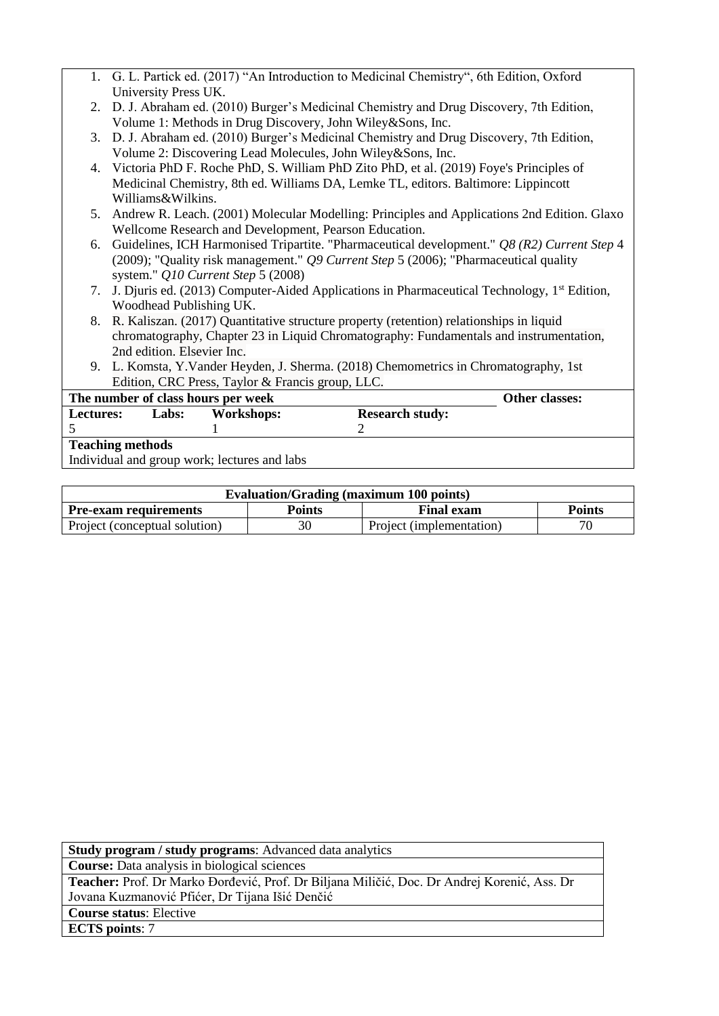- 1. G. L. Partick ed. (2017) "An Introduction to Medicinal Chemistry", 6th Edition, Oxford University Press UK.
- 2. D. J. Abraham ed. (2010) Burger's Medicinal Chemistry and Drug Discovery, 7th Edition, Volume 1: Methods in Drug Discovery, John Wiley&Sons, Inc.
- 3. D. J. Abraham ed. (2010) Burger's Medicinal Chemistry and Drug Discovery, 7th Edition, Volume 2: Discovering Lead Molecules, John Wiley&Sons, Inc.
- 4. Victoria PhD F. Roche PhD, S. William PhD Zito PhD, et al. (2019) Foye's Principles of Medicinal Chemistry, 8th ed. Williams DA, Lemke TL, editors. Baltimore: Lippincott Williams&Wilkins.
- 5. Andrew R. Leach. (2001) Molecular Modelling: Principles and Applications 2nd Edition. Glaxo Wellcome Research and Development, Pearson Education.
- 6. Guidelines, ICH Harmonised Tripartite. "Pharmaceutical development." *Q8 (R2) Current Step* 4 (2009); "Quality risk management." *Q9 Current Step* 5 (2006); "Pharmaceutical quality system." *Q10 Current Step* 5 (2008)
- 7. J. Djuris ed. (2013) Computer-Aided Applications in Pharmaceutical Technology, 1st Edition, Woodhead Publishing UK.
- 8. R. Kaliszan. (2017) Quantitative structure property (retention) relationships in liquid chromatography, Chapter 23 in Liquid Chromatography: Fundamentals and instrumentation, 2nd edition. Elsevier Inc.
- 9. L. Komsta, Y.Vander Heyden, J. Sherma. (2018) Chemometrics in Chromatography, 1st Edition, CRC Press, Taylor & Francis group, LLC.

| The number of class hours per week |       |                                              | Other classes:         |  |
|------------------------------------|-------|----------------------------------------------|------------------------|--|
| <b>Lectures:</b>                   | Labs: | Workshops:                                   | <b>Research study:</b> |  |
|                                    |       |                                              |                        |  |
| <b>Teaching methods</b>            |       |                                              |                        |  |
|                                    |       | Individual and group work; lectures and labs |                        |  |

| <b>Evaluation/Grading (maximum 100 points)</b>                               |    |                          |  |  |
|------------------------------------------------------------------------------|----|--------------------------|--|--|
| <b>Final exam</b><br>Points<br><b>Points</b><br><b>Pre-exam requirements</b> |    |                          |  |  |
| Project (conceptual solution)                                                | 30 | Project (implementation) |  |  |

| <b>Study program / study programs:</b> Advanced data analytics                              |
|---------------------------------------------------------------------------------------------|
| <b>Course:</b> Data analysis in biological sciences                                         |
| Teacher: Prof. Dr Marko Đorđević, Prof. Dr Biljana Miličić, Doc. Dr Andrej Korenić, Ass. Dr |
| Jovana Kuzmanović Pfićer, Dr Tijana Išić Denčić                                             |
| <b>Course status: Elective</b>                                                              |
| <b>ECTS</b> points: 7                                                                       |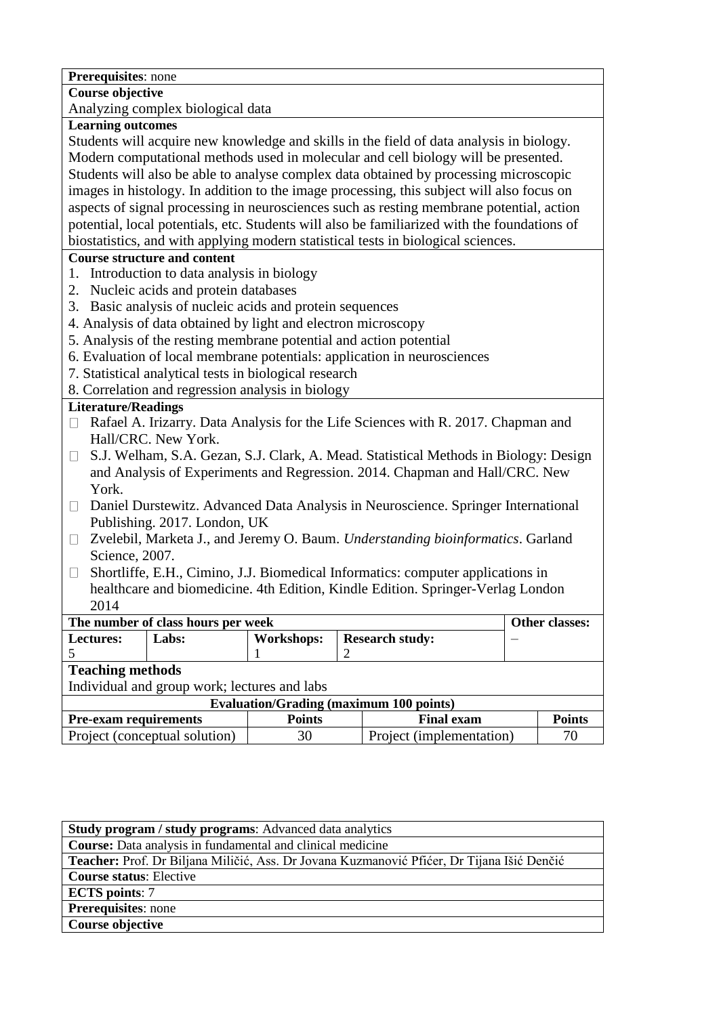| Prerequisites: none                                                                            |    |                                                |  |                       |
|------------------------------------------------------------------------------------------------|----|------------------------------------------------|--|-----------------------|
| <b>Course objective</b>                                                                        |    |                                                |  |                       |
| Analyzing complex biological data                                                              |    |                                                |  |                       |
| <b>Learning outcomes</b>                                                                       |    |                                                |  |                       |
| Students will acquire new knowledge and skills in the field of data analysis in biology.       |    |                                                |  |                       |
| Modern computational methods used in molecular and cell biology will be presented.             |    |                                                |  |                       |
| Students will also be able to analyse complex data obtained by processing microscopic          |    |                                                |  |                       |
| images in histology. In addition to the image processing, this subject will also focus on      |    |                                                |  |                       |
| aspects of signal processing in neurosciences such as resting membrane potential, action       |    |                                                |  |                       |
| potential, local potentials, etc. Students will also be familiarized with the foundations of   |    |                                                |  |                       |
| biostatistics, and with applying modern statistical tests in biological sciences.              |    |                                                |  |                       |
| <b>Course structure and content</b>                                                            |    |                                                |  |                       |
| 1. Introduction to data analysis in biology                                                    |    |                                                |  |                       |
| 2. Nucleic acids and protein databases                                                         |    |                                                |  |                       |
| 3. Basic analysis of nucleic acids and protein sequences                                       |    |                                                |  |                       |
| 4. Analysis of data obtained by light and electron microscopy                                  |    |                                                |  |                       |
| 5. Analysis of the resting membrane potential and action potential                             |    |                                                |  |                       |
| 6. Evaluation of local membrane potentials: application in neurosciences                       |    |                                                |  |                       |
| 7. Statistical analytical tests in biological research                                         |    |                                                |  |                       |
| 8. Correlation and regression analysis in biology                                              |    |                                                |  |                       |
| <b>Literature/Readings</b>                                                                     |    |                                                |  |                       |
| Rafael A. Irizarry. Data Analysis for the Life Sciences with R. 2017. Chapman and<br>П         |    |                                                |  |                       |
| Hall/CRC. New York.                                                                            |    |                                                |  |                       |
| S.J. Welham, S.A. Gezan, S.J. Clark, A. Mead. Statistical Methods in Biology: Design<br>$\Box$ |    |                                                |  |                       |
| and Analysis of Experiments and Regression. 2014. Chapman and Hall/CRC. New                    |    |                                                |  |                       |
| York.                                                                                          |    |                                                |  |                       |
| Daniel Durstewitz. Advanced Data Analysis in Neuroscience. Springer International<br>$\Box$    |    |                                                |  |                       |
| Publishing. 2017. London, UK                                                                   |    |                                                |  |                       |
| Zvelebil, Marketa J., and Jeremy O. Baum. Understanding bioinformatics. Garland<br>$\Box$      |    |                                                |  |                       |
| Science, 2007.                                                                                 |    |                                                |  |                       |
| Shortliffe, E.H., Cimino, J.J. Biomedical Informatics: computer applications in<br>$\Box$      |    |                                                |  |                       |
| healthcare and biomedicine. 4th Edition, Kindle Edition. Springer-Verlag London                |    |                                                |  |                       |
| 2014                                                                                           |    |                                                |  |                       |
| The number of class hours per week                                                             |    |                                                |  | <b>Other classes:</b> |
| Labs:<br><b>Workshops:</b><br>Lectures:                                                        |    | <b>Research study:</b>                         |  |                       |
| 5<br>1                                                                                         | 2  |                                                |  |                       |
| <b>Teaching methods</b><br>Individual and group work; lectures and labs                        |    |                                                |  |                       |
|                                                                                                |    | <b>Evaluation/Grading (maximum 100 points)</b> |  |                       |
| <b>Pre-exam requirements</b><br><b>Points</b>                                                  |    | <b>Final exam</b>                              |  | <b>Points</b>         |
| Project (conceptual solution)                                                                  | 30 | Project (implementation)                       |  | 70                    |
|                                                                                                |    |                                                |  |                       |

| <b>Study program / study programs:</b> Advanced data analytics                             |
|--------------------------------------------------------------------------------------------|
| <b>Course:</b> Data analysis in fundamental and clinical medicine                          |
| Teacher: Prof. Dr Biljana Miličić, Ass. Dr Jovana Kuzmanović Pfićer, Dr Tijana Išić Denčić |
| <b>Course status: Elective</b>                                                             |
| <b>ECTS</b> points: 7                                                                      |
| <b>Prerequisites:</b> none                                                                 |
| Course objective                                                                           |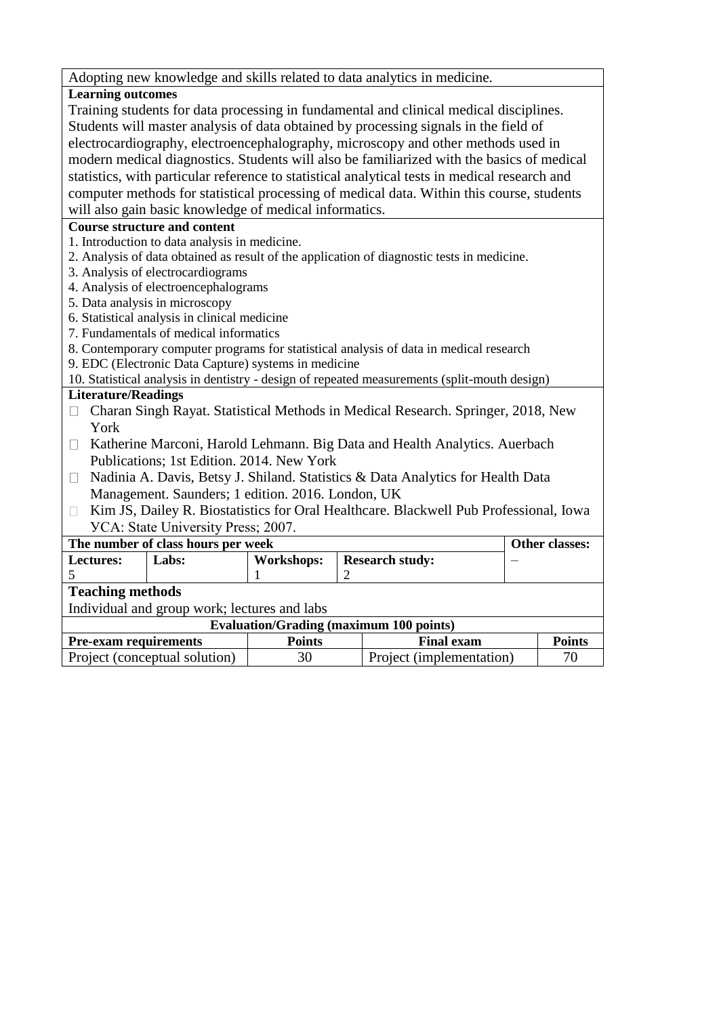Adopting new knowledge and skills related to data analytics in medicine.

# **Learning outcomes**

Training students for data processing in fundamental and clinical medical disciplines. Students will master analysis of data obtained by processing signals in the field of electrocardiography, electroencephalography, microscopy and other methods used in modern medical diagnostics. Students will also be familiarized with the basics of medical statistics, with particular reference to statistical analytical tests in medical research and computer methods for statistical processing of medical data. Within this course, students will also gain basic knowledge of medical informatics.

## **Course structure and content**

- 1. Introduction to data analysis in medicine.
- 2. Analysis of data obtained as result of the application of diagnostic tests in medicine.
- 3. Analysis of electrocardiograms
- 4. Analysis of electroencephalograms
- 5. Data analysis in microscopy
- 6. Statistical analysis in clinical medicine
- 7. Fundamentals of medical informatics
- 8. Contemporary computer programs for statistical analysis of data in medical research
- 9. EDC (Electronic Data Capture) systems in medicine

10. Statistical analysis in dentistry - design of repeated measurements (split-mouth design)

- $\Box$  Charan Singh Rayat. Statistical Methods in Medical Research. Springer, 2018, New York
- $\Box$  Katherine Marconi, Harold Lehmann. Big Data and Health Analytics. Auerbach Publications; 1st Edition. 2014. New York
- $\Box$  Nadinia A. Davis, Betsy J. Shiland. Statistics & Data Analytics for Health Data Management. Saunders; 1 edition. 2016. London, UK
- □ Kim JS, Dailey R. Biostatistics for Oral Healthcare. Blackwell Pub Professional, Iowa УСА: State University Press; 2007.

| The number of class hours per week                                 | Other classes:                                 |                   |                        |  |  |
|--------------------------------------------------------------------|------------------------------------------------|-------------------|------------------------|--|--|
| Lectures:                                                          | Labs:                                          | <b>Workshops:</b> | <b>Research study:</b> |  |  |
|                                                                    |                                                |                   |                        |  |  |
|                                                                    | <b>Teaching methods</b>                        |                   |                        |  |  |
|                                                                    | Individual and group work; lectures and labs   |                   |                        |  |  |
|                                                                    | <b>Evaluation/Grading (maximum 100 points)</b> |                   |                        |  |  |
| <b>Pre-exam requirements</b><br><b>Final exam</b><br><b>Points</b> |                                                |                   | <b>Points</b>          |  |  |
| Project (conceptual solution)<br>Project (implementation)<br>30    |                                                | 70                |                        |  |  |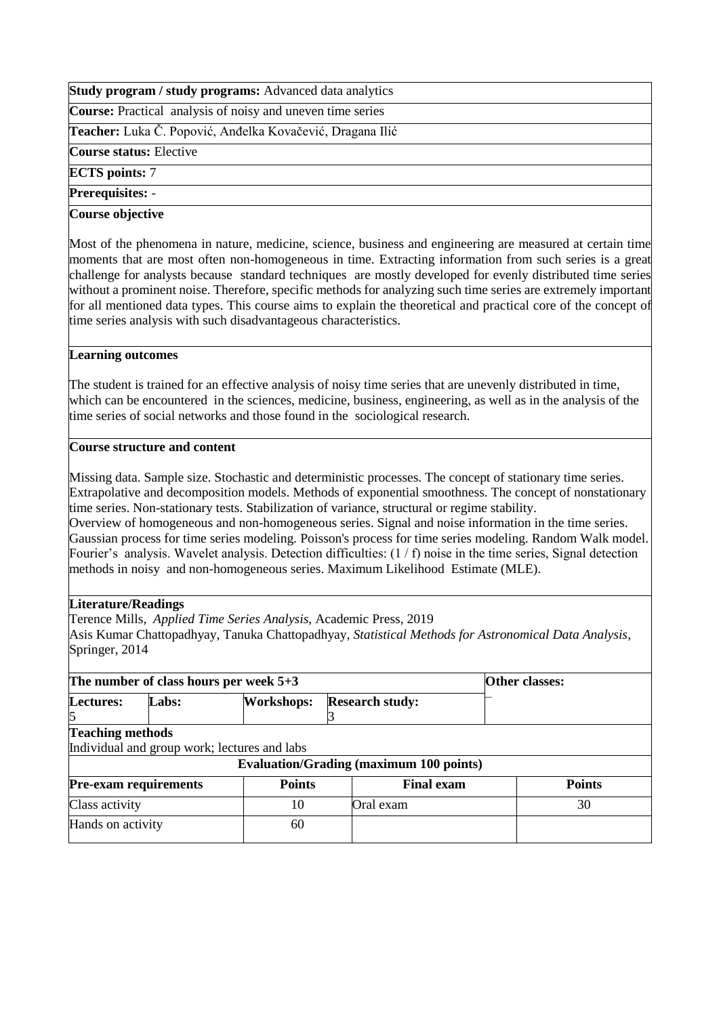**Course:** Practical analysis of noisy and uneven time series

**Teacher:** Luka Č. Popović, Anđelka Kovačević, Dragana Ilić

**Course status:** Elective

**ECTS points:** 7

**Prerequisites:** -

### **Course objective**

Most of the phenomena in nature, medicine, science, business and engineering are measured at certain time moments that are most often non-homogeneous in time. Extracting information from such series is a great challenge for analysts because standard techniques are mostly developed for evenly distributed time series without a prominent noise. Therefore, specific methods for analyzing such time series are extremely important for all mentioned data types. This course aims to explain the theoretical and practical core of the concept of time series analysis with such disadvantageous characteristics.

### **Learning outcomes**

The student is trained for an effective analysis of noisy time series that are unevenly distributed in time, which can be encountered in the sciences, medicine, business, engineering, as well as in the analysis of the time series of social networks and those found in the sociological research.

## **Course structure and content**

Missing data. Sample size. Stochastic and deterministic processes. The concept of stationary time series. Extrapolative and decomposition models. Methods of exponential smoothness. The concept of nonstationary time series. Non-stationary tests. Stabilization of variance, structural or regime stability.

Overview of homogeneous and non-homogeneous series. Signal and noise information in the time series. Gaussian process for time series modeling. Poisson's process for time series modeling. Random Walk model. Fourier's analysis. Wavelet analysis. Detection difficulties: (1 / f) noise in the time series, Signal detection methods in noisy and non-homogeneous series. Maximum Likelihood Estimate (MLE).

## **Literature/Readings**

Terence Mills, *Applied Time Series Analysis*, Academic Press, 2019

Asis Kumar Chattopadhyay, Tanuka Chattopadhyay, *Statistical Methods for Astronomical Data Analysis*, Springer, 2014

|                                                                    | The number of class hours per week $5+3$ | <b>Other classes:</b>                        |                                                |               |
|--------------------------------------------------------------------|------------------------------------------|----------------------------------------------|------------------------------------------------|---------------|
| <b>Lectures:</b>                                                   | Labs:                                    | <b>Workshops:</b><br><b>Research study:</b>  |                                                |               |
| <b>Teaching methods</b>                                            |                                          |                                              |                                                |               |
|                                                                    |                                          | Individual and group work; lectures and labs |                                                |               |
|                                                                    |                                          |                                              | <b>Evaluation/Grading (maximum 100 points)</b> |               |
| <b>Points</b><br><b>Final exam</b><br><b>Pre-exam requirements</b> |                                          |                                              |                                                | <b>Points</b> |
| Class activity                                                     |                                          | 10                                           | Oral exam                                      | 30            |
| Hands on activity                                                  |                                          | 60                                           |                                                |               |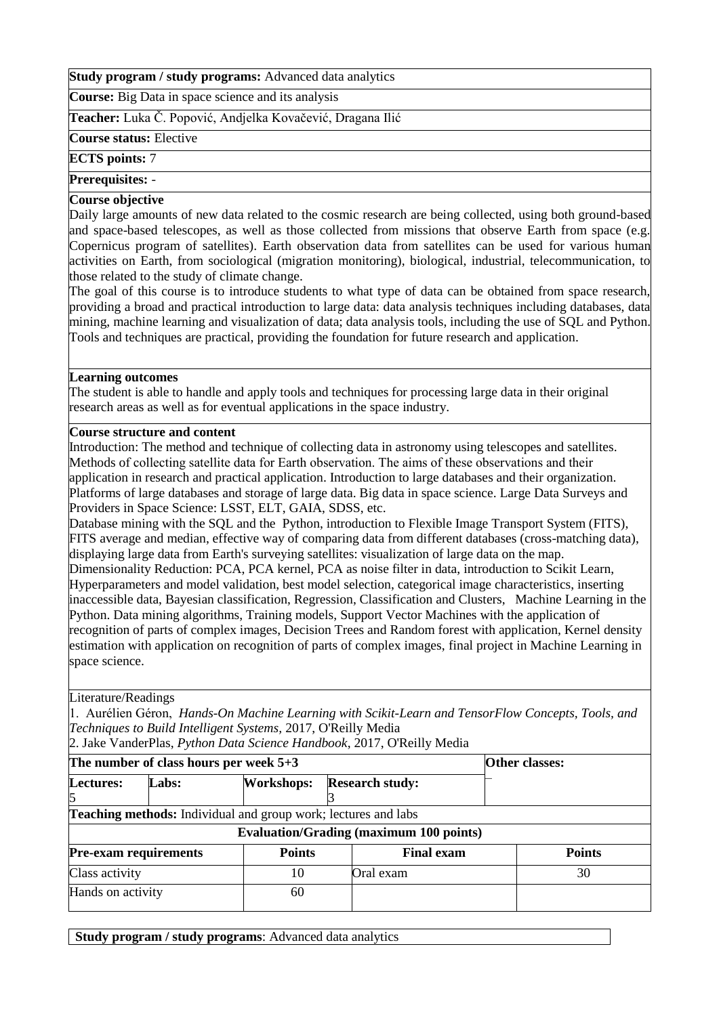**Course:** Big Data in space science and its analysis

**Teacher:** Luka Č. Popović, Andjelka Kovačević, Dragana Ilić

**Course status:** Elective

**ECTS points:** 7

### **Prerequisites:** -

## **Course objective**

Daily large amounts of new data related to the cosmic research are being collected, using both ground-based and space-based telescopes, as well as those collected from missions that observe Earth from space (e.g. Copernicus program of satellites). Earth observation data from satellites can be used for various human activities on Earth, from sociological (migration monitoring), biological, industrial, telecommunication, to those related to the study of climate change.

The goal of this course is to introduce students to what type of data can be obtained from space research, providing a broad and practical introduction to large data: data analysis techniques including databases, data mining, machine learning and visualization of data; data analysis tools, including the use of SQL and Python. Tools and techniques are practical, providing the foundation for future research and application.

## **Learning outcomes**

The student is able to handle and apply tools and techniques for processing large data in their original research areas as well as for eventual applications in the space industry.

### **Course structure and content**

Introduction: The method and technique of collecting data in astronomy using telescopes and satellites. Methods of collecting satellite data for Earth оbservation. The aims of these observations and their application in research and practical application. Introduction to large databases and their organization. Platforms of large databases and storage of large data. Big data in space science. Large Data Surveys and Providers in Space Science: LSST, ELT, GAIA, SDSS, etc.

Database mining with the SQL and the Python, introduction to Flexible Image Transport System (FITS), FITS average and median, effective way of comparing data from different databases (cross-matching data), displaying large data from Earth's surveying satellites: visualization of large data on the map.

Dimensionality Reduction: PCA, PCA kernel, PCA as noise filter in data, introduction to Scikit Learn, Hyperparameters and model validation, best model selection, categorical image characteristics, inserting inaccessible data, Bayesian classification, Regression, Classification and Clusters, Machine Learning in the Python. Data mining algorithms, Training models, Support Vector Machines with the application of recognition of parts of complex images, Decision Trees and Random forest with application, Kernel density estimation with application on recognition of parts of complex images, final project in Machine Learning in space science.

## Literature/Readings

1. Aurélien Géron, *Hands-On Machine Learning with Scikit-Learn and TensorFlow Concepts, Tools, and Techniques to Build Intelligent Systems,* 2017, O'Reilly Media

2. Jake VanderPlas, *Python Data Science Handbook*, 2017, O'Reilly Media

| The number of class hours per week $5+3$ |                                                                                                                         | Other classes:    |                        |               |  |  |
|------------------------------------------|-------------------------------------------------------------------------------------------------------------------------|-------------------|------------------------|---------------|--|--|
| Lectures:                                | <b>Labs:</b>                                                                                                            | <b>Workshops:</b> | <b>Research study:</b> |               |  |  |
| 5                                        |                                                                                                                         |                   |                        |               |  |  |
|                                          | <b>Teaching methods:</b> Individual and group work; lectures and labs<br><b>Evaluation/Grading (maximum 100 points)</b> |                   |                        |               |  |  |
| <b>Pre-exam requirements</b>             |                                                                                                                         | <b>Points</b>     | <b>Final exam</b>      | <b>Points</b> |  |  |
|                                          |                                                                                                                         | 10                | Oral exam              | 30            |  |  |
| Class activity<br>Hands on activity      |                                                                                                                         |                   |                        |               |  |  |
|                                          |                                                                                                                         | 60                |                        |               |  |  |

**Study program / study programs**: Advanced data analytics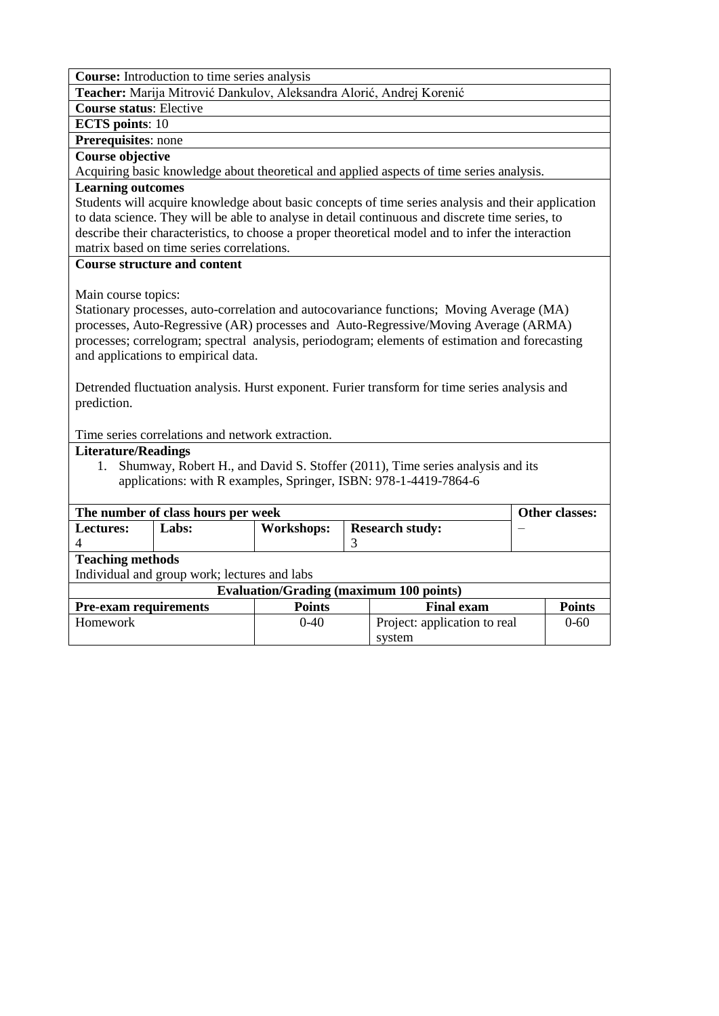**Course:** Introduction to time series analysis

**Teacher:** Marija Mitrović Dankulov, Aleksandra Alorić, Andrej Korenić

**Course status**: Elective

**ECTS points**: 10

**Prerequisites**: none

# **Course objective**

Acquiring basic knowledge about theoretical and applied aspects of time series analysis.

## **Learning outcomes**

Students will acquire knowledge about basic concepts of time series analysis and their application to data science. They will be able to analyse in detail continuous and discrete time series, to describe their characteristics, to choose a proper theoretical model and to infer the interaction matrix based on time series correlations.

### **Course structure and content**

Main course topics:

Stationary processes, auto-correlation and autocovariance functions; Moving Average (MA) processes, Auto-Regressive (AR) processes and Auto-Regressive/Moving Average (ARMA) processes; correlogram; spectral analysis, periodogram; elements of estimation and forecasting and applications to empirical data.

Detrended fluctuation analysis. Hurst exponent. Furier transform for time series analysis and prediction.

Time series correlations and network extraction.

#### **Literature/Readings**

1. Shumway, Robert H., and David S. Stoffer (2011), Time series analysis and its applications: with R examples, Springer, ISBN: 978-1-4419-7864-6

|                  | The number of class hours per week                                                  |                                              |                                                |          |  |  |  |
|------------------|-------------------------------------------------------------------------------------|----------------------------------------------|------------------------------------------------|----------|--|--|--|
| <b>Lectures:</b> | Labs:                                                                               | <b>Workshops:</b>                            | <b>Research study:</b>                         |          |  |  |  |
| 4                |                                                                                     |                                              |                                                |          |  |  |  |
|                  | <b>Teaching methods</b>                                                             |                                              |                                                |          |  |  |  |
|                  |                                                                                     | Individual and group work; lectures and labs |                                                |          |  |  |  |
|                  |                                                                                     |                                              | <b>Evaluation/Grading (maximum 100 points)</b> |          |  |  |  |
|                  | <b>Pre-exam requirements</b><br><b>Points</b><br><b>Points</b><br><b>Final exam</b> |                                              |                                                |          |  |  |  |
| <b>Homework</b>  |                                                                                     | $0 - 40$                                     | Project: application to real                   | $0 - 60$ |  |  |  |
|                  |                                                                                     |                                              | system                                         |          |  |  |  |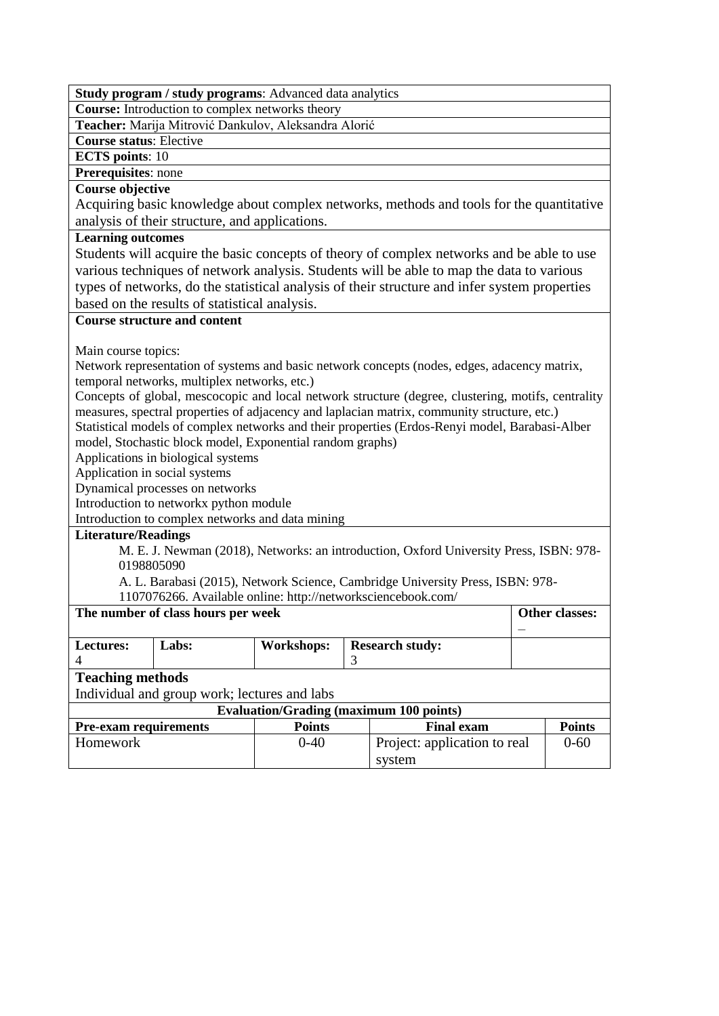**Study program / study programs**: Advanced data analytics **Course:** Introduction to complex networks theory **Teacher:** Marija Mitrović Dankulov, Aleksandra Alorić **Course status**: Elective **ECTS points**: 10 **Prerequisites**: none **Course objective** Acquiring basic knowledge about complex networks, methods and tools for the quantitative analysis of their structure, and applications. **Learning outcomes** Students will acquire the basic concepts of theory of complex networks and be able to use various techniques of network analysis. Students will be able to map the data to various types of networks, do the statistical analysis of their structure and infer system properties based on the results of statistical analysis. **Course structure and content** Main course topics: Network representation of systems and basic network concepts (nodes, edges, adacency matrix, temporal networks, multiplex networks, etc.) Concepts of global, mescocopic and local network structure (degree, clustering, motifs, centrality measures, spectral properties of adjacency and laplacian matrix, community structure, etc.) Statistical models of complex networks and their properties (Erdos-Renyi model, Barabasi-Alber model, Stochastic block model, Exponential random graphs) Applications in biological systems Application in social systems Dynamical processes on networks Introduction to networkx python module Introduction to complex networks and data mining **Literature/Readings** M. E. J. Newman (2018), Networks: an introduction, Oxford University Press, ISBN: 978- 0198805090 A. L. Barabasi (2015), Network Science, Cambridge University Press, ISBN: 978- 1107076266. Available online: http://networksciencebook.com/ The number of class hours per week **Other classes:** – **Lectures:**  4 Labs: **Workshops: Research study:** 3 **Teaching methods** Individual and group work; lectures and labs **Evaluation/Grading (maximum 100 points) Pre-exam requirements Points Final exam Points** Homework 0-40 Project: application to real system 0-60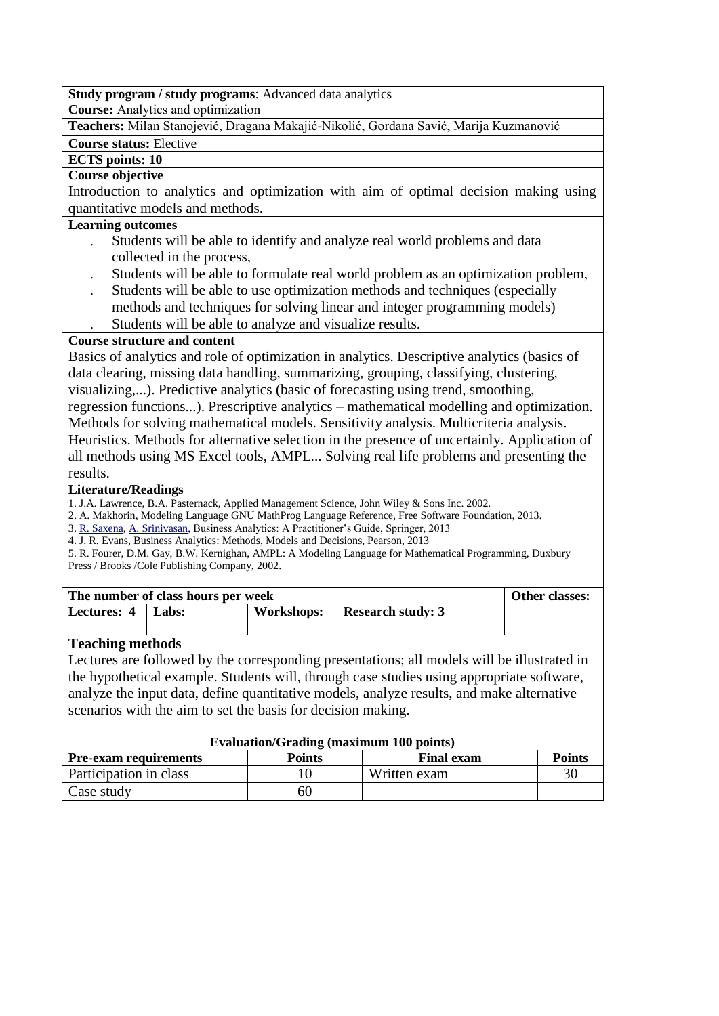**Course:** Analytics and оptimization

**Teachers:** Milan Stanojević, Dragana Makajić-Nikolić, Gordana Savić, Marija Kuzmanović

# **Course status:** Elective

# **ECTS points: 10**

### **Course objective**

Introduction to analytics and optimization with aim of optimal decision making using quantitative models and methods.

### **Learning outcomes**

- . Students will be able to identify and analyze real world problems and data collected in the process,
- . Students will be able to formulate real world problem as an optimization problem,
- . Students will be able to use optimization methods and techniques (especially methods and techniques for solving linear and integer programming models) . Students will be able to analyze and visualize results.

## **Course structure and content**

Basics of analytics and role of optimization in analytics. Descriptive analytics (basics of data clearing, missing data handling, summarizing, grouping, classifying, clustering, visualizing,...). Predictive analytics (basic of forecasting using trend, smoothing,

regression functions...). Prescriptive analytics – mathematical modelling and optimization. Methods for solving mathematical models. Sensitivity analysis. Multicriteria analysis.

Heuristics. Methods for alternative selection in the presence of uncertainly. Application of all methods using MS Excel tools, AMPL... Solving real life problems and presenting the results.

### **Literature/Readings**

1. J.A. Lawrence, B.A. Pasternack, Applied Management Science, John Wiley & Sons Inc. 2002.

- 2. A. Makhorin, Modeling Language GNU MathProg Language Reference, Free Software Foundation, 2013.
- 3[. R. Saxena,](http://link.springer.com/search?facet-author=%22Rahul+Saxena%22) [A. Srinivasan,](http://link.springer.com/search?facet-author=%22Anand+Srinivasan%22) Business Analytics: A Practitioner's Guide, Springer, 2013

4. J. R. Evans, Business Analytics: Methods, Models and Decisions, Pearson, 2013

5. R. Fourer, D.M. Gay, B.W. Kernighan, AMPL: A Modeling Language for Mathematical Programming, Duxbury Press / Brooks /Cole Publishing Company, 2002.

| The number of class hours per week | <b>Other classes:</b> |                          |  |
|------------------------------------|-----------------------|--------------------------|--|
| Lectures: 4   Labs:                | Workshops:            | <b>Research study: 3</b> |  |
|                                    |                       |                          |  |

# **Teaching methods**

Lectures are followed by the corresponding presentations; all models will be illustrated in the hypothetical example. Students will, through case studies using appropriate software, analyze the input data, define quantitative models, analyze results, and make alternative scenarios with the aim to set the basis for decision making.

| <b>Evaluation/Grading (maximum 100 points)</b>                                      |    |              |    |  |
|-------------------------------------------------------------------------------------|----|--------------|----|--|
| <b>Points</b><br><b>Final exam</b><br><b>Points</b><br><b>Pre-exam requirements</b> |    |              |    |  |
| Participation in class                                                              |    | Written exam | 30 |  |
| Case study                                                                          | 60 |              |    |  |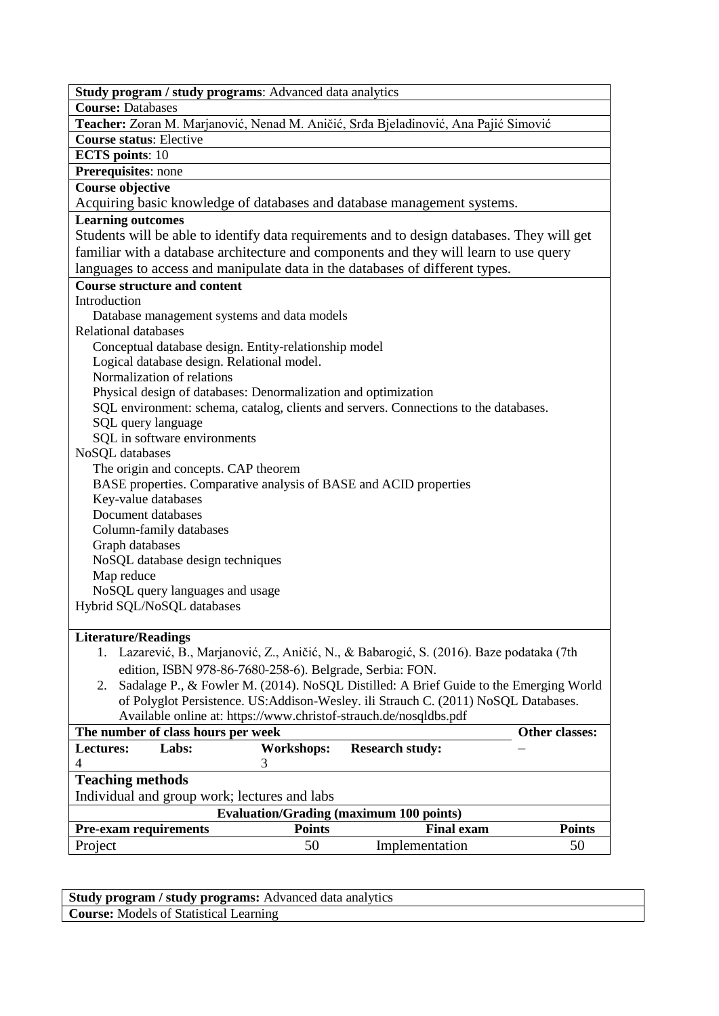| Study program / study programs: Advanced data analytics                                    |  |  |  |  |  |
|--------------------------------------------------------------------------------------------|--|--|--|--|--|
| <b>Course: Databases</b>                                                                   |  |  |  |  |  |
| Teacher: Zoran M. Marjanović, Nenad M. Aničić, Srđa Bjeladinović, Ana Pajić Simović        |  |  |  |  |  |
| <b>Course status: Elective</b>                                                             |  |  |  |  |  |
| <b>ECTS</b> points: 10                                                                     |  |  |  |  |  |
| Prerequisites: none                                                                        |  |  |  |  |  |
| <b>Course objective</b>                                                                    |  |  |  |  |  |
| Acquiring basic knowledge of databases and database management systems.                    |  |  |  |  |  |
| <b>Learning outcomes</b>                                                                   |  |  |  |  |  |
| Students will be able to identify data requirements and to design databases. They will get |  |  |  |  |  |
| familiar with a database architecture and components and they will learn to use query      |  |  |  |  |  |
| languages to access and manipulate data in the databases of different types.               |  |  |  |  |  |
| <b>Course structure and content</b>                                                        |  |  |  |  |  |
| Introduction                                                                               |  |  |  |  |  |
| Database management systems and data models                                                |  |  |  |  |  |
| <b>Relational databases</b>                                                                |  |  |  |  |  |
| Conceptual database design. Entity-relationship model                                      |  |  |  |  |  |
| Logical database design. Relational model.                                                 |  |  |  |  |  |
| Normalization of relations                                                                 |  |  |  |  |  |
| Physical design of databases: Denormalization and optimization                             |  |  |  |  |  |
| SQL environment: schema, catalog, clients and servers. Connections to the databases.       |  |  |  |  |  |
| SQL query language                                                                         |  |  |  |  |  |
| SQL in software environments                                                               |  |  |  |  |  |
| NoSQL databases                                                                            |  |  |  |  |  |
| The origin and concepts. CAP theorem                                                       |  |  |  |  |  |
| BASE properties. Comparative analysis of BASE and ACID properties                          |  |  |  |  |  |
| Key-value databases                                                                        |  |  |  |  |  |
| Document databases                                                                         |  |  |  |  |  |
| Column-family databases                                                                    |  |  |  |  |  |
| Graph databases                                                                            |  |  |  |  |  |
| NoSQL database design techniques                                                           |  |  |  |  |  |
| Map reduce                                                                                 |  |  |  |  |  |
| NoSQL query languages and usage                                                            |  |  |  |  |  |
| Hybrid SQL/NoSQL databases                                                                 |  |  |  |  |  |
|                                                                                            |  |  |  |  |  |
| <b>Literature/Readings</b>                                                                 |  |  |  |  |  |
| 1. Lazarević, B., Marjanović, Z., Aničić, N., & Babarogić, S. (2016). Baze podataka (7th   |  |  |  |  |  |
| edition, ISBN 978-86-7680-258-6). Belgrade, Serbia: FON.                                   |  |  |  |  |  |
| 2. Sadalage P., & Fowler M. (2014). NoSQL Distilled: A Brief Guide to the Emerging World   |  |  |  |  |  |
| of Polyglot Persistence. US:Addison-Wesley. ili Strauch C. (2011) NoSQL Databases.         |  |  |  |  |  |
| Available online at: https://www.christof-strauch.de/nosqldbs.pdf                          |  |  |  |  |  |
| Other classes:<br>The number of class hours per week                                       |  |  |  |  |  |
| <b>Lectures:</b><br>Labs:<br><b>Workshops:</b><br><b>Research study:</b>                   |  |  |  |  |  |
| $\overline{4}$<br>3                                                                        |  |  |  |  |  |
| <b>Teaching methods</b>                                                                    |  |  |  |  |  |
| Individual and group work; lectures and labs                                               |  |  |  |  |  |
| <b>Evaluation/Grading (maximum 100 points)</b>                                             |  |  |  |  |  |
| <b>Points</b><br><b>Pre-exam requirements</b><br><b>Points</b><br><b>Final exam</b>        |  |  |  |  |  |
| 50<br>50<br>Project<br>Implementation                                                      |  |  |  |  |  |
|                                                                                            |  |  |  |  |  |

**Study program / study programs:** Advanced data analytics **Course:** Models of Statistical Learning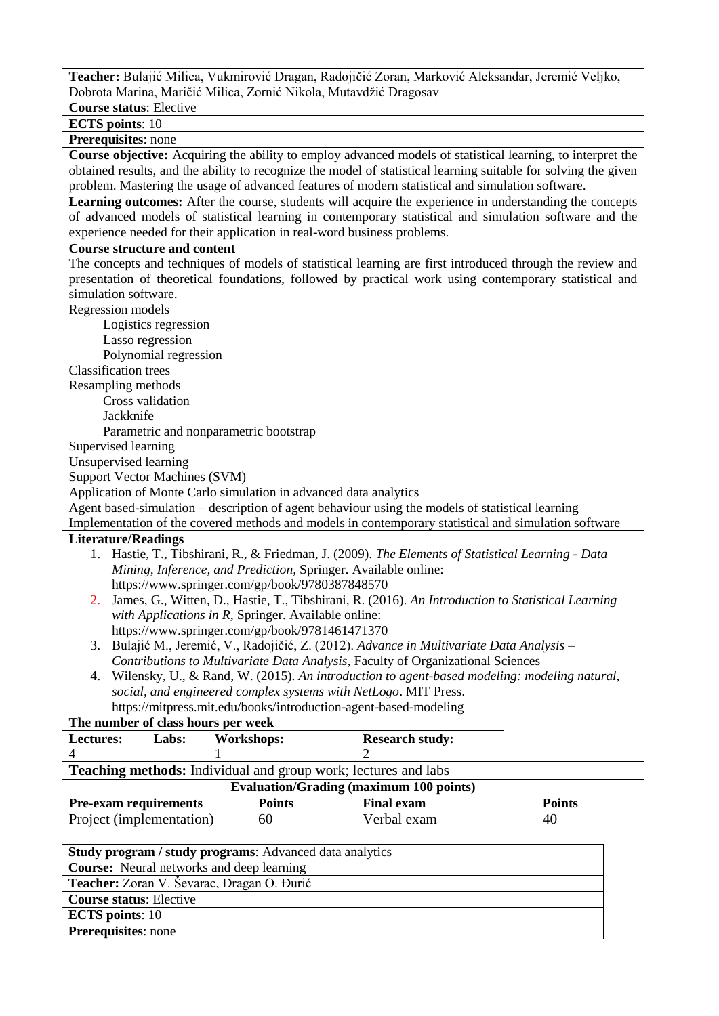**Teacher:** Bulajić Milica, Vukmirović Dragan, Radojičić Zoran, Marković Aleksandar, Jeremić Veljko, Dobrota Marina, Maričić Milica, Zornić Nikola, Mutavdžić Dragosav

**Course status**: Elective

**ECTS points**: 10

# **Prerequisites**: none

**Course objective:** Acquiring the ability to employ advanced models of statistical learning, to interpret the obtained results, and the ability to recognize the model of statistical learning suitable for solving the given problem. Mastering the usage of advanced features of modern statistical and simulation software.

**Learning outcomes:** After the course, students will acquire the experience in understanding the concepts of advanced models of statistical learning in contemporary statistical and simulation software and the experience needed for their application in real-word business problems.

#### **Course structure and content**

The concepts and techniques of models of statistical learning are first introduced through the review and presentation of theoretical foundations, followed by practical work using contemporary statistical and simulation software. Regression models

Logistics regression

Lasso regression

Polynomial regression

Classification trees

Resampling methods

Cross validation

Jackknife

Parametric and nonparametric bootstrap

Supervised learning

Unsupervised learning

Support Vector Machines (SVM)

Application of Monte Carlo simulation in advanced data analytics

Agent based-simulation – description of agent behaviour using the models of statistical learning

Implementation of the covered methods and models in contemporary statistical and simulation software

- 1. Hastie, T., Tibshirani, R., & Friedman, J. (2009). *The Elements of Statistical Learning - Data Mining, Inference, and Prediction,* Springer. Available online: https://www.springer.com/gp/book/9780387848570
- 2. James, G., Witten, D., Hastie, T., Tibshirani, R. (2016). *An Introduction to Statistical Learning with Applications in R,* Springer. Available online: https://www.springer.com/gp/book/9781461471370
- 3. Bulajić M., Jeremić, V., Radojičić, Z. (2012). *Advance in Multivariate Data Analysis – Contributions to Multivariate Data Analysis*, Faculty of Organizational Sciences
- 4. Wilensky, U., & Rand, W. (2015). *An introduction to agent-based modeling: modeling natural, social, and engineered complex systems with NetLogo*. MIT Press.

| https://mitpress.mit.edu/books/introduction-agent-based-modeling |
|------------------------------------------------------------------|
|------------------------------------------------------------------|

| <b>Workshops:</b>                              | <b>Research study:</b>   |                                                                                                             |  |  |
|------------------------------------------------|--------------------------|-------------------------------------------------------------------------------------------------------------|--|--|
|                                                |                          |                                                                                                             |  |  |
|                                                |                          |                                                                                                             |  |  |
| <b>Evaluation/Grading (maximum 100 points)</b> |                          |                                                                                                             |  |  |
| <b>Points</b>                                  | <b>Final exam</b>        | <b>Points</b>                                                                                               |  |  |
| 60                                             | Verbal exam              | 40                                                                                                          |  |  |
|                                                | Project (implementation) | The number of class hours per week<br><b>Teaching methods:</b> Individual and group work; lectures and labs |  |  |

| <b>Study program / study programs:</b> Advanced data analytics |
|----------------------------------------------------------------|
| <b>Course:</b> Neural networks and deep learning               |
| Teacher: Zoran V. Ševarac, Dragan O. Đurić                     |
| <b>Course status: Elective</b>                                 |
| <b>ECTS</b> points: 10                                         |
| <b>Prerequisites:</b> none                                     |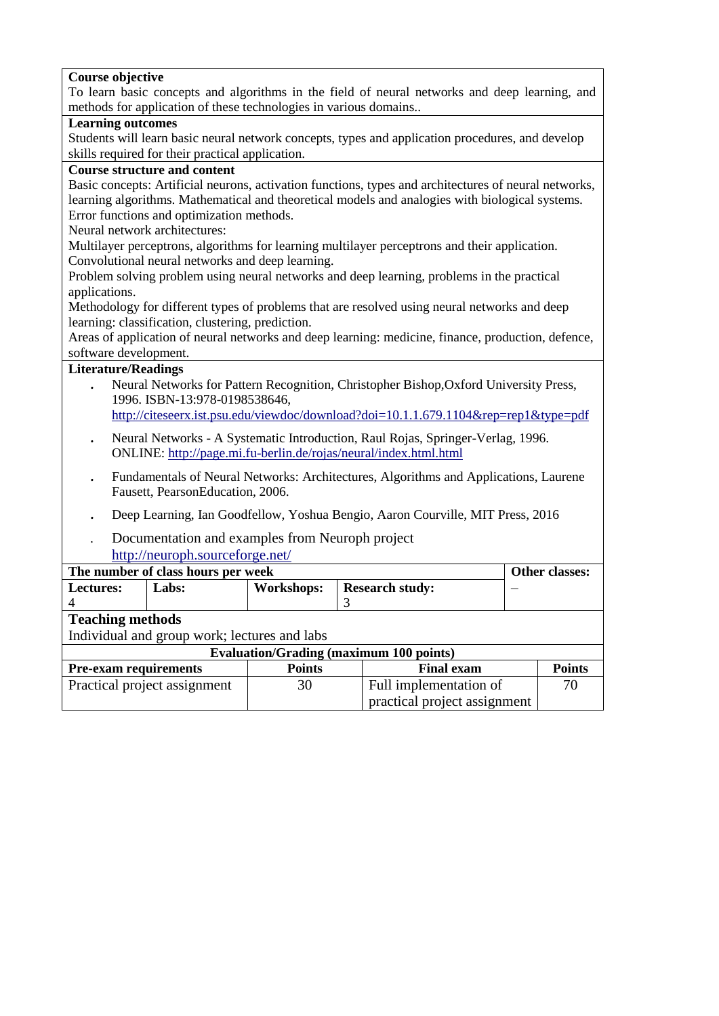| To learn basic concepts and algorithms in the field of neural networks and deep learning, and<br>methods for application of these technologies in various domains<br><b>Learning outcomes</b><br>Students will learn basic neural network concepts, types and application procedures, and develop<br>skills required for their practical application.<br><b>Course structure and content</b><br>Basic concepts: Artificial neurons, activation functions, types and architectures of neural networks,<br>learning algorithms. Mathematical and theoretical models and analogies with biological systems.<br>Error functions and optimization methods.<br>Neural network architectures:<br>Multilayer perceptrons, algorithms for learning multilayer perceptrons and their application.<br>Convolutional neural networks and deep learning.<br>Problem solving problem using neural networks and deep learning, problems in the practical<br>applications.<br>Methodology for different types of problems that are resolved using neural networks and deep<br>learning: classification, clustering, prediction.<br>Areas of application of neural networks and deep learning: medicine, finance, production, defence,<br>software development.<br><b>Literature/Readings</b><br>Neural Networks for Pattern Recognition, Christopher Bishop, Oxford University Press,<br>1996. ISBN-13:978-0198538646,<br>http://citeseerx.ist.psu.edu/viewdoc/download?doi=10.1.1.679.1104&rep=rep1&type=pdf<br>Neural Networks - A Systematic Introduction, Raul Rojas, Springer-Verlag, 1996.<br>$\bullet$<br>ONLINE: http://page.mi.fu-berlin.de/rojas/neural/index.html.html<br>Fundamentals of Neural Networks: Architectures, Algorithms and Applications, Laurene<br>$\bullet$<br>Fausett, PearsonEducation, 2006.<br>Deep Learning, Ian Goodfellow, Yoshua Bengio, Aaron Courville, MIT Press, 2016<br>Documentation and examples from Neuroph project<br>http://neuroph.sourceforge.net/<br>The number of class hours per week<br>Other classes:<br><b>Research study:</b><br>Labs:<br>Workshops:<br>Lectures:<br>$\overline{\mathcal{L}}$<br>3<br><b>Teaching methods</b><br>Individual and group work; lectures and labs<br><b>Evaluation/Grading (maximum 100 points)</b><br><b>Pre-exam requirements</b><br><b>Points</b><br><b>Points</b><br><b>Final exam</b><br>Full implementation of<br>Practical project assignment<br>30<br>70 |                         |  |                              |  |  |  |
|-------------------------------------------------------------------------------------------------------------------------------------------------------------------------------------------------------------------------------------------------------------------------------------------------------------------------------------------------------------------------------------------------------------------------------------------------------------------------------------------------------------------------------------------------------------------------------------------------------------------------------------------------------------------------------------------------------------------------------------------------------------------------------------------------------------------------------------------------------------------------------------------------------------------------------------------------------------------------------------------------------------------------------------------------------------------------------------------------------------------------------------------------------------------------------------------------------------------------------------------------------------------------------------------------------------------------------------------------------------------------------------------------------------------------------------------------------------------------------------------------------------------------------------------------------------------------------------------------------------------------------------------------------------------------------------------------------------------------------------------------------------------------------------------------------------------------------------------------------------------------------------------------------------------------------------------------------------------------------------------------------------------------------------------------------------------------------------------------------------------------------------------------------------------------------------------------------------------------------------------------------------------------------------------------------------------------------------------------------------------------------------------------------------------------------------|-------------------------|--|------------------------------|--|--|--|
|                                                                                                                                                                                                                                                                                                                                                                                                                                                                                                                                                                                                                                                                                                                                                                                                                                                                                                                                                                                                                                                                                                                                                                                                                                                                                                                                                                                                                                                                                                                                                                                                                                                                                                                                                                                                                                                                                                                                                                                                                                                                                                                                                                                                                                                                                                                                                                                                                                     | <b>Course objective</b> |  |                              |  |  |  |
|                                                                                                                                                                                                                                                                                                                                                                                                                                                                                                                                                                                                                                                                                                                                                                                                                                                                                                                                                                                                                                                                                                                                                                                                                                                                                                                                                                                                                                                                                                                                                                                                                                                                                                                                                                                                                                                                                                                                                                                                                                                                                                                                                                                                                                                                                                                                                                                                                                     |                         |  |                              |  |  |  |
|                                                                                                                                                                                                                                                                                                                                                                                                                                                                                                                                                                                                                                                                                                                                                                                                                                                                                                                                                                                                                                                                                                                                                                                                                                                                                                                                                                                                                                                                                                                                                                                                                                                                                                                                                                                                                                                                                                                                                                                                                                                                                                                                                                                                                                                                                                                                                                                                                                     |                         |  |                              |  |  |  |
|                                                                                                                                                                                                                                                                                                                                                                                                                                                                                                                                                                                                                                                                                                                                                                                                                                                                                                                                                                                                                                                                                                                                                                                                                                                                                                                                                                                                                                                                                                                                                                                                                                                                                                                                                                                                                                                                                                                                                                                                                                                                                                                                                                                                                                                                                                                                                                                                                                     |                         |  |                              |  |  |  |
|                                                                                                                                                                                                                                                                                                                                                                                                                                                                                                                                                                                                                                                                                                                                                                                                                                                                                                                                                                                                                                                                                                                                                                                                                                                                                                                                                                                                                                                                                                                                                                                                                                                                                                                                                                                                                                                                                                                                                                                                                                                                                                                                                                                                                                                                                                                                                                                                                                     |                         |  |                              |  |  |  |
|                                                                                                                                                                                                                                                                                                                                                                                                                                                                                                                                                                                                                                                                                                                                                                                                                                                                                                                                                                                                                                                                                                                                                                                                                                                                                                                                                                                                                                                                                                                                                                                                                                                                                                                                                                                                                                                                                                                                                                                                                                                                                                                                                                                                                                                                                                                                                                                                                                     |                         |  |                              |  |  |  |
|                                                                                                                                                                                                                                                                                                                                                                                                                                                                                                                                                                                                                                                                                                                                                                                                                                                                                                                                                                                                                                                                                                                                                                                                                                                                                                                                                                                                                                                                                                                                                                                                                                                                                                                                                                                                                                                                                                                                                                                                                                                                                                                                                                                                                                                                                                                                                                                                                                     |                         |  |                              |  |  |  |
|                                                                                                                                                                                                                                                                                                                                                                                                                                                                                                                                                                                                                                                                                                                                                                                                                                                                                                                                                                                                                                                                                                                                                                                                                                                                                                                                                                                                                                                                                                                                                                                                                                                                                                                                                                                                                                                                                                                                                                                                                                                                                                                                                                                                                                                                                                                                                                                                                                     |                         |  |                              |  |  |  |
|                                                                                                                                                                                                                                                                                                                                                                                                                                                                                                                                                                                                                                                                                                                                                                                                                                                                                                                                                                                                                                                                                                                                                                                                                                                                                                                                                                                                                                                                                                                                                                                                                                                                                                                                                                                                                                                                                                                                                                                                                                                                                                                                                                                                                                                                                                                                                                                                                                     |                         |  |                              |  |  |  |
|                                                                                                                                                                                                                                                                                                                                                                                                                                                                                                                                                                                                                                                                                                                                                                                                                                                                                                                                                                                                                                                                                                                                                                                                                                                                                                                                                                                                                                                                                                                                                                                                                                                                                                                                                                                                                                                                                                                                                                                                                                                                                                                                                                                                                                                                                                                                                                                                                                     |                         |  |                              |  |  |  |
|                                                                                                                                                                                                                                                                                                                                                                                                                                                                                                                                                                                                                                                                                                                                                                                                                                                                                                                                                                                                                                                                                                                                                                                                                                                                                                                                                                                                                                                                                                                                                                                                                                                                                                                                                                                                                                                                                                                                                                                                                                                                                                                                                                                                                                                                                                                                                                                                                                     |                         |  |                              |  |  |  |
|                                                                                                                                                                                                                                                                                                                                                                                                                                                                                                                                                                                                                                                                                                                                                                                                                                                                                                                                                                                                                                                                                                                                                                                                                                                                                                                                                                                                                                                                                                                                                                                                                                                                                                                                                                                                                                                                                                                                                                                                                                                                                                                                                                                                                                                                                                                                                                                                                                     |                         |  |                              |  |  |  |
|                                                                                                                                                                                                                                                                                                                                                                                                                                                                                                                                                                                                                                                                                                                                                                                                                                                                                                                                                                                                                                                                                                                                                                                                                                                                                                                                                                                                                                                                                                                                                                                                                                                                                                                                                                                                                                                                                                                                                                                                                                                                                                                                                                                                                                                                                                                                                                                                                                     |                         |  |                              |  |  |  |
|                                                                                                                                                                                                                                                                                                                                                                                                                                                                                                                                                                                                                                                                                                                                                                                                                                                                                                                                                                                                                                                                                                                                                                                                                                                                                                                                                                                                                                                                                                                                                                                                                                                                                                                                                                                                                                                                                                                                                                                                                                                                                                                                                                                                                                                                                                                                                                                                                                     |                         |  |                              |  |  |  |
|                                                                                                                                                                                                                                                                                                                                                                                                                                                                                                                                                                                                                                                                                                                                                                                                                                                                                                                                                                                                                                                                                                                                                                                                                                                                                                                                                                                                                                                                                                                                                                                                                                                                                                                                                                                                                                                                                                                                                                                                                                                                                                                                                                                                                                                                                                                                                                                                                                     |                         |  |                              |  |  |  |
|                                                                                                                                                                                                                                                                                                                                                                                                                                                                                                                                                                                                                                                                                                                                                                                                                                                                                                                                                                                                                                                                                                                                                                                                                                                                                                                                                                                                                                                                                                                                                                                                                                                                                                                                                                                                                                                                                                                                                                                                                                                                                                                                                                                                                                                                                                                                                                                                                                     |                         |  |                              |  |  |  |
|                                                                                                                                                                                                                                                                                                                                                                                                                                                                                                                                                                                                                                                                                                                                                                                                                                                                                                                                                                                                                                                                                                                                                                                                                                                                                                                                                                                                                                                                                                                                                                                                                                                                                                                                                                                                                                                                                                                                                                                                                                                                                                                                                                                                                                                                                                                                                                                                                                     |                         |  |                              |  |  |  |
|                                                                                                                                                                                                                                                                                                                                                                                                                                                                                                                                                                                                                                                                                                                                                                                                                                                                                                                                                                                                                                                                                                                                                                                                                                                                                                                                                                                                                                                                                                                                                                                                                                                                                                                                                                                                                                                                                                                                                                                                                                                                                                                                                                                                                                                                                                                                                                                                                                     |                         |  |                              |  |  |  |
|                                                                                                                                                                                                                                                                                                                                                                                                                                                                                                                                                                                                                                                                                                                                                                                                                                                                                                                                                                                                                                                                                                                                                                                                                                                                                                                                                                                                                                                                                                                                                                                                                                                                                                                                                                                                                                                                                                                                                                                                                                                                                                                                                                                                                                                                                                                                                                                                                                     |                         |  |                              |  |  |  |
|                                                                                                                                                                                                                                                                                                                                                                                                                                                                                                                                                                                                                                                                                                                                                                                                                                                                                                                                                                                                                                                                                                                                                                                                                                                                                                                                                                                                                                                                                                                                                                                                                                                                                                                                                                                                                                                                                                                                                                                                                                                                                                                                                                                                                                                                                                                                                                                                                                     |                         |  |                              |  |  |  |
|                                                                                                                                                                                                                                                                                                                                                                                                                                                                                                                                                                                                                                                                                                                                                                                                                                                                                                                                                                                                                                                                                                                                                                                                                                                                                                                                                                                                                                                                                                                                                                                                                                                                                                                                                                                                                                                                                                                                                                                                                                                                                                                                                                                                                                                                                                                                                                                                                                     |                         |  |                              |  |  |  |
|                                                                                                                                                                                                                                                                                                                                                                                                                                                                                                                                                                                                                                                                                                                                                                                                                                                                                                                                                                                                                                                                                                                                                                                                                                                                                                                                                                                                                                                                                                                                                                                                                                                                                                                                                                                                                                                                                                                                                                                                                                                                                                                                                                                                                                                                                                                                                                                                                                     |                         |  |                              |  |  |  |
|                                                                                                                                                                                                                                                                                                                                                                                                                                                                                                                                                                                                                                                                                                                                                                                                                                                                                                                                                                                                                                                                                                                                                                                                                                                                                                                                                                                                                                                                                                                                                                                                                                                                                                                                                                                                                                                                                                                                                                                                                                                                                                                                                                                                                                                                                                                                                                                                                                     |                         |  |                              |  |  |  |
|                                                                                                                                                                                                                                                                                                                                                                                                                                                                                                                                                                                                                                                                                                                                                                                                                                                                                                                                                                                                                                                                                                                                                                                                                                                                                                                                                                                                                                                                                                                                                                                                                                                                                                                                                                                                                                                                                                                                                                                                                                                                                                                                                                                                                                                                                                                                                                                                                                     |                         |  |                              |  |  |  |
|                                                                                                                                                                                                                                                                                                                                                                                                                                                                                                                                                                                                                                                                                                                                                                                                                                                                                                                                                                                                                                                                                                                                                                                                                                                                                                                                                                                                                                                                                                                                                                                                                                                                                                                                                                                                                                                                                                                                                                                                                                                                                                                                                                                                                                                                                                                                                                                                                                     |                         |  |                              |  |  |  |
|                                                                                                                                                                                                                                                                                                                                                                                                                                                                                                                                                                                                                                                                                                                                                                                                                                                                                                                                                                                                                                                                                                                                                                                                                                                                                                                                                                                                                                                                                                                                                                                                                                                                                                                                                                                                                                                                                                                                                                                                                                                                                                                                                                                                                                                                                                                                                                                                                                     |                         |  |                              |  |  |  |
|                                                                                                                                                                                                                                                                                                                                                                                                                                                                                                                                                                                                                                                                                                                                                                                                                                                                                                                                                                                                                                                                                                                                                                                                                                                                                                                                                                                                                                                                                                                                                                                                                                                                                                                                                                                                                                                                                                                                                                                                                                                                                                                                                                                                                                                                                                                                                                                                                                     |                         |  |                              |  |  |  |
|                                                                                                                                                                                                                                                                                                                                                                                                                                                                                                                                                                                                                                                                                                                                                                                                                                                                                                                                                                                                                                                                                                                                                                                                                                                                                                                                                                                                                                                                                                                                                                                                                                                                                                                                                                                                                                                                                                                                                                                                                                                                                                                                                                                                                                                                                                                                                                                                                                     |                         |  |                              |  |  |  |
|                                                                                                                                                                                                                                                                                                                                                                                                                                                                                                                                                                                                                                                                                                                                                                                                                                                                                                                                                                                                                                                                                                                                                                                                                                                                                                                                                                                                                                                                                                                                                                                                                                                                                                                                                                                                                                                                                                                                                                                                                                                                                                                                                                                                                                                                                                                                                                                                                                     |                         |  |                              |  |  |  |
|                                                                                                                                                                                                                                                                                                                                                                                                                                                                                                                                                                                                                                                                                                                                                                                                                                                                                                                                                                                                                                                                                                                                                                                                                                                                                                                                                                                                                                                                                                                                                                                                                                                                                                                                                                                                                                                                                                                                                                                                                                                                                                                                                                                                                                                                                                                                                                                                                                     |                         |  |                              |  |  |  |
|                                                                                                                                                                                                                                                                                                                                                                                                                                                                                                                                                                                                                                                                                                                                                                                                                                                                                                                                                                                                                                                                                                                                                                                                                                                                                                                                                                                                                                                                                                                                                                                                                                                                                                                                                                                                                                                                                                                                                                                                                                                                                                                                                                                                                                                                                                                                                                                                                                     |                         |  |                              |  |  |  |
|                                                                                                                                                                                                                                                                                                                                                                                                                                                                                                                                                                                                                                                                                                                                                                                                                                                                                                                                                                                                                                                                                                                                                                                                                                                                                                                                                                                                                                                                                                                                                                                                                                                                                                                                                                                                                                                                                                                                                                                                                                                                                                                                                                                                                                                                                                                                                                                                                                     |                         |  |                              |  |  |  |
|                                                                                                                                                                                                                                                                                                                                                                                                                                                                                                                                                                                                                                                                                                                                                                                                                                                                                                                                                                                                                                                                                                                                                                                                                                                                                                                                                                                                                                                                                                                                                                                                                                                                                                                                                                                                                                                                                                                                                                                                                                                                                                                                                                                                                                                                                                                                                                                                                                     |                         |  |                              |  |  |  |
|                                                                                                                                                                                                                                                                                                                                                                                                                                                                                                                                                                                                                                                                                                                                                                                                                                                                                                                                                                                                                                                                                                                                                                                                                                                                                                                                                                                                                                                                                                                                                                                                                                                                                                                                                                                                                                                                                                                                                                                                                                                                                                                                                                                                                                                                                                                                                                                                                                     |                         |  |                              |  |  |  |
|                                                                                                                                                                                                                                                                                                                                                                                                                                                                                                                                                                                                                                                                                                                                                                                                                                                                                                                                                                                                                                                                                                                                                                                                                                                                                                                                                                                                                                                                                                                                                                                                                                                                                                                                                                                                                                                                                                                                                                                                                                                                                                                                                                                                                                                                                                                                                                                                                                     |                         |  |                              |  |  |  |
|                                                                                                                                                                                                                                                                                                                                                                                                                                                                                                                                                                                                                                                                                                                                                                                                                                                                                                                                                                                                                                                                                                                                                                                                                                                                                                                                                                                                                                                                                                                                                                                                                                                                                                                                                                                                                                                                                                                                                                                                                                                                                                                                                                                                                                                                                                                                                                                                                                     |                         |  |                              |  |  |  |
|                                                                                                                                                                                                                                                                                                                                                                                                                                                                                                                                                                                                                                                                                                                                                                                                                                                                                                                                                                                                                                                                                                                                                                                                                                                                                                                                                                                                                                                                                                                                                                                                                                                                                                                                                                                                                                                                                                                                                                                                                                                                                                                                                                                                                                                                                                                                                                                                                                     |                         |  |                              |  |  |  |
|                                                                                                                                                                                                                                                                                                                                                                                                                                                                                                                                                                                                                                                                                                                                                                                                                                                                                                                                                                                                                                                                                                                                                                                                                                                                                                                                                                                                                                                                                                                                                                                                                                                                                                                                                                                                                                                                                                                                                                                                                                                                                                                                                                                                                                                                                                                                                                                                                                     |                         |  | practical project assignment |  |  |  |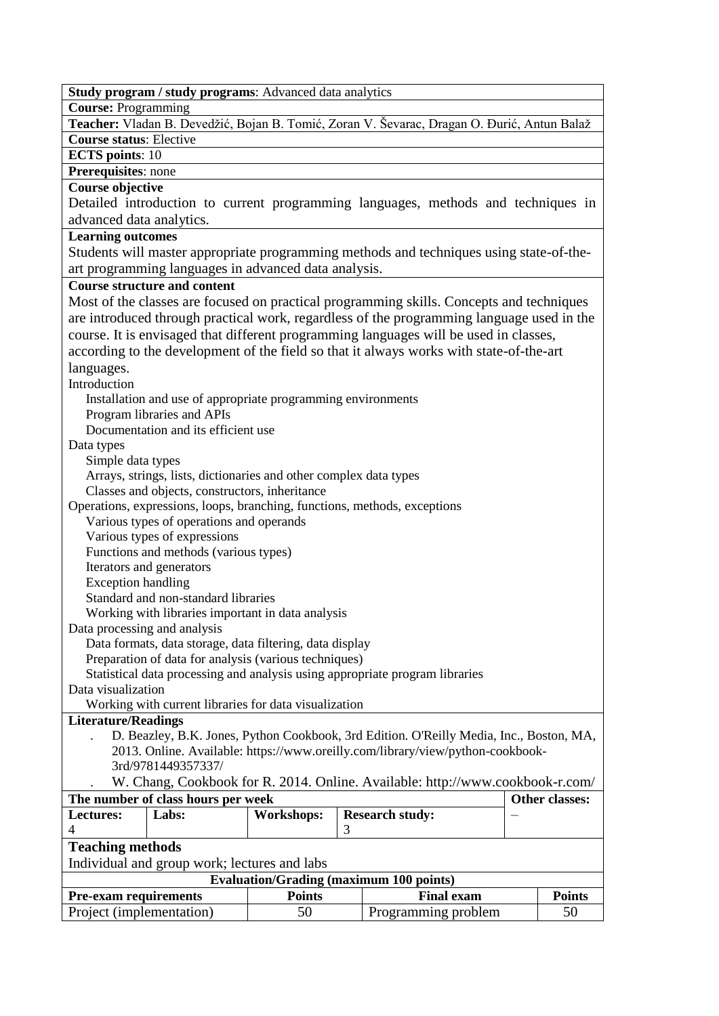| Study program / study programs: Advanced data analytics                                     |  |  |  |  |
|---------------------------------------------------------------------------------------------|--|--|--|--|
| <b>Course: Programming</b>                                                                  |  |  |  |  |
| Teacher: Vladan B. Devedžić, Bojan B. Tomić, Zoran V. Ševarac, Dragan O. Đurić, Antun Balaž |  |  |  |  |
| <b>Course status: Elective</b>                                                              |  |  |  |  |
| <b>ECTS</b> points: 10                                                                      |  |  |  |  |
| Prerequisites: none                                                                         |  |  |  |  |
| <b>Course objective</b>                                                                     |  |  |  |  |
| Detailed introduction to current programming languages, methods and techniques in           |  |  |  |  |
| advanced data analytics.                                                                    |  |  |  |  |
| <b>Learning outcomes</b>                                                                    |  |  |  |  |
| Students will master appropriate programming methods and techniques using state-of-the-     |  |  |  |  |
| art programming languages in advanced data analysis.                                        |  |  |  |  |
| <b>Course structure and content</b>                                                         |  |  |  |  |
| Most of the classes are focused on practical programming skills. Concepts and techniques    |  |  |  |  |
| are introduced through practical work, regardless of the programming language used in the   |  |  |  |  |
| course. It is envisaged that different programming languages will be used in classes,       |  |  |  |  |
| according to the development of the field so that it always works with state-of-the-art     |  |  |  |  |
|                                                                                             |  |  |  |  |
| languages.                                                                                  |  |  |  |  |
| Introduction                                                                                |  |  |  |  |
| Installation and use of appropriate programming environments                                |  |  |  |  |
| Program libraries and APIs<br>Documentation and its efficient use                           |  |  |  |  |
|                                                                                             |  |  |  |  |
| Data types<br>Simple data types                                                             |  |  |  |  |
| Arrays, strings, lists, dictionaries and other complex data types                           |  |  |  |  |
| Classes and objects, constructors, inheritance                                              |  |  |  |  |
| Operations, expressions, loops, branching, functions, methods, exceptions                   |  |  |  |  |
| Various types of operations and operands                                                    |  |  |  |  |
| Various types of expressions                                                                |  |  |  |  |
| Functions and methods (various types)                                                       |  |  |  |  |
| Iterators and generators                                                                    |  |  |  |  |
| <b>Exception handling</b>                                                                   |  |  |  |  |
| Standard and non-standard libraries                                                         |  |  |  |  |
| Working with libraries important in data analysis                                           |  |  |  |  |
| Data processing and analysis                                                                |  |  |  |  |
| Data formats, data storage, data filtering, data display                                    |  |  |  |  |
| Preparation of data for analysis (various techniques)                                       |  |  |  |  |
| Statistical data processing and analysis using appropriate program libraries                |  |  |  |  |
| Data visualization                                                                          |  |  |  |  |
| Working with current libraries for data visualization                                       |  |  |  |  |
| <b>Literature/Readings</b>                                                                  |  |  |  |  |
| D. Beazley, B.K. Jones, Python Cookbook, 3rd Edition. O'Reilly Media, Inc., Boston, MA,     |  |  |  |  |
| 2013. Online. Available: https://www.oreilly.com/library/view/python-cookbook-              |  |  |  |  |
| 3rd/9781449357337/                                                                          |  |  |  |  |
| W. Chang, Cookbook for R. 2014. Online. Available: http://www.cookbook-r.com/               |  |  |  |  |
| The number of class hours per week<br>Other classes:                                        |  |  |  |  |
| Labs:<br><b>Lectures:</b><br><b>Workshops:</b><br><b>Research study:</b>                    |  |  |  |  |
| 3<br>4                                                                                      |  |  |  |  |
| <b>Teaching methods</b>                                                                     |  |  |  |  |
| Individual and group work; lectures and labs                                                |  |  |  |  |
| <b>Evaluation/Grading (maximum 100 points)</b>                                              |  |  |  |  |
| <b>Points</b><br><b>Final exam</b><br><b>Pre-exam requirements</b><br><b>Points</b>         |  |  |  |  |
| Project (implementation)<br>50<br>50<br>Programming problem                                 |  |  |  |  |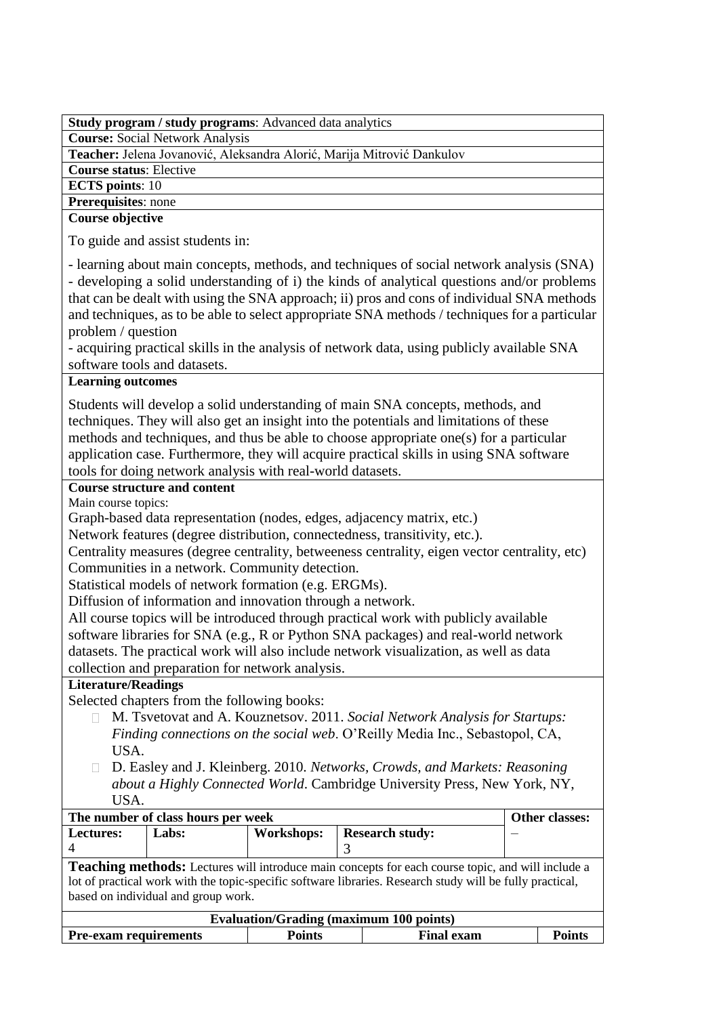| Study program / study programs: Advanced data analytics |  |
|---------------------------------------------------------|--|
|                                                         |  |

**Course:** Social Network Analysis

**Teacher:** Jelena Jovanović, Aleksandra Alorić, Marija Mitrović Dankulov

**Course status**: Elective

**ECTS points**: 10

**Prerequisites**: none

**Course objective**

To guide and assist students in:

- learning about main concepts, methods, and techniques of social network analysis (SNA) - developing a solid understanding of i) the kinds of analytical questions and/or problems that can be dealt with using the SNA approach; ii) pros and cons of individual SNA methods and techniques, as to be able to select appropriate SNA methods / techniques for a particular problem / question

- acquiring practical skills in the analysis of network data, using publicly available SNA software tools and datasets.

# **Learning outcomes**

Students will develop a solid understanding of main SNA concepts, methods, and techniques. They will also get an insight into the potentials and limitations of these methods and techniques, and thus be able to choose appropriate one(s) for a particular application case. Furthermore, they will acquire practical skills in using SNA software tools for doing network analysis with real-world datasets.

# **Course structure and content**

Main course topics:

Graph-based data representation (nodes, edges, adjacency matrix, etc.)

Network features (degree distribution, connectedness, transitivity, etc.).

Centrality measures (degree centrality, betweeness centrality, eigen vector centrality, etc) Communities in a network. Community detection.

Statistical models of network formation (e.g. ERGMs).

Diffusion of information and innovation through a network.

All course topics will be introduced through practical work with publicly available software libraries for SNA (e.g., R or Python SNA packages) and real-world network datasets. The practical work will also include network visualization, as well as data collection and preparation for network analysis.

# **Literature/Readings**

Selected chapters from the following books:

- M. Tsvetovat and A. Kouznetsov. 2011. *Social Network Analysis for Startups: Finding connections on the social web*. O'Reilly Media Inc., Sebastopol, CA, USA.
- D. Easley and J. Kleinberg. 2010. *Networks, Crowds, and Markets: Reasoning about a Highly Connected World*. Cambridge University Press, New York, NY, USA.

| The number of class hours per week                                                                                                                                                                                                                           | Other classes:                                       |               |                   |               |
|--------------------------------------------------------------------------------------------------------------------------------------------------------------------------------------------------------------------------------------------------------------|------------------------------------------------------|---------------|-------------------|---------------|
| Lectures:                                                                                                                                                                                                                                                    | <b>Workshops:</b><br><b>Research study:</b><br>Labs: |               |                   |               |
|                                                                                                                                                                                                                                                              |                                                      |               |                   |               |
| <b>Teaching methods:</b> Lectures will introduce main concepts for each course topic, and will include a<br>lot of practical work with the topic-specific software libraries. Research study will be fully practical,<br>based on individual and group work. |                                                      |               |                   |               |
| <b>Evaluation/Grading (maximum 100 points)</b>                                                                                                                                                                                                               |                                                      |               |                   |               |
| <b>Pre-exam requirements</b>                                                                                                                                                                                                                                 |                                                      | <b>Points</b> | <b>Final exam</b> | <b>Points</b> |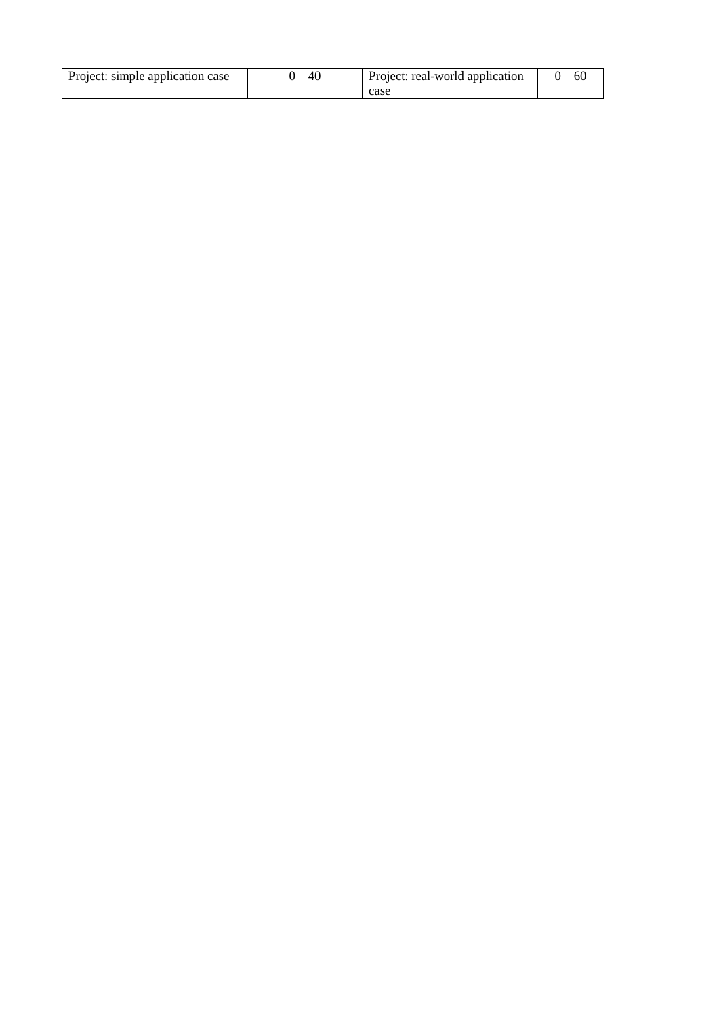| Project: simple application case | $-40$ | Project: real-world application | $0 - 60$ |
|----------------------------------|-------|---------------------------------|----------|
|                                  |       | case                            |          |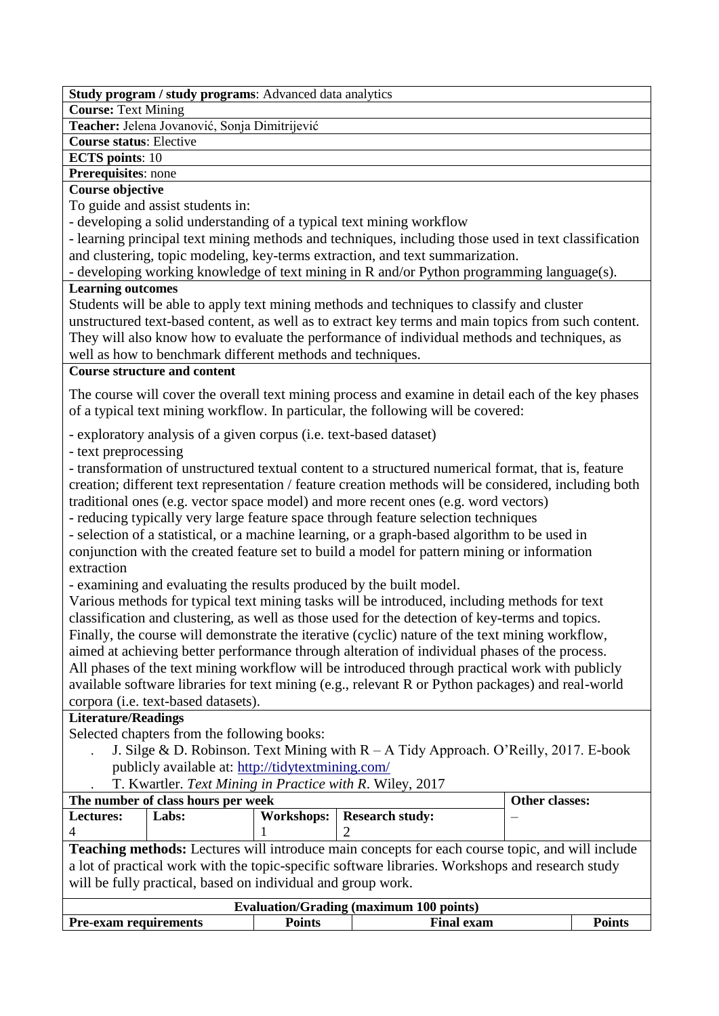**Course:** Text Mining

**Teacher:** Jelena Jovanović, Sonja Dimitrijević

**Course status**: Elective

**ECTS points**: 10

**Prerequisites**: none

## **Course objective**

To guide and assist students in:

- developing a solid understanding of a typical text mining workflow

- learning principal text mining methods and techniques, including those used in text classification and clustering, topic modeling, key-terms extraction, and text summarization.

- developing working knowledge of text mining in R and/or Python programming language(s).

## **Learning outcomes**

Students will be able to apply text mining methods and techniques to classify and cluster unstructured text-based content, as well as to extract key terms and main topics from such content. They will also know how to evaluate the performance of individual methods and techniques, as well as how to benchmark different methods and techniques.

## **Course structure and content**

The course will cover the overall text mining process and examine in detail each of the key phases of a typical text mining workflow. In particular, the following will be covered:

- exploratory analysis of a given corpus (i.e. text-based dataset)

- text preprocessing

- transformation of unstructured textual content to a structured numerical format, that is, feature creation; different text representation / feature creation methods will be considered, including both traditional ones (e.g. vector space model) and more recent ones (e.g. word vectors)

- reducing typically very large feature space through feature selection techniques

- selection of a statistical, or a machine learning, or a graph-based algorithm to be used in conjunction with the created feature set to build a model for pattern mining or information extraction

- examining and evaluating the results produced by the built model.

Various methods for typical text mining tasks will be introduced, including methods for text classification and clustering, as well as those used for the detection of key-terms and topics. Finally, the course will demonstrate the iterative (cyclic) nature of the text mining workflow, aimed at achieving better performance through alteration of individual phases of the process. All phases of the text mining workflow will be introduced through practical work with publicly available software libraries for text mining (e.g., relevant R or Python packages) and real-world corpora (i.e. text-based datasets).

# **Literature/Readings**

Selected chapters from the following books:

- . J. Silge & D. Robinson. Text Mining with R A Tidy Approach. O'Reilly, 2017. E-book publicly available at:<http://tidytextmining.com/>
- . T. Kwartler. *Text Mining in Practice with R*. Wiley, 2017

| The number of class hours per week                                                                     |       |  |  | Other classes: |
|--------------------------------------------------------------------------------------------------------|-------|--|--|----------------|
| <b>Lectures:</b>                                                                                       | Labs: |  |  |                |
|                                                                                                        |       |  |  |                |
| <b>Teaching methods:</b> Lectures will introduce main concepts for each course topic, and will include |       |  |  |                |
| a lot of practical work with the topic-specific software libraries. Workshops and research study       |       |  |  |                |
| will be fully practical, based on individual and group work.                                           |       |  |  |                |

| <b>Evaluation/Grading (maximum 100 points)</b> |               |                   |        |  |
|------------------------------------------------|---------------|-------------------|--------|--|
| <b>Pre-exam requirements</b>                   | <b>Points</b> | <b>Final exam</b> | Points |  |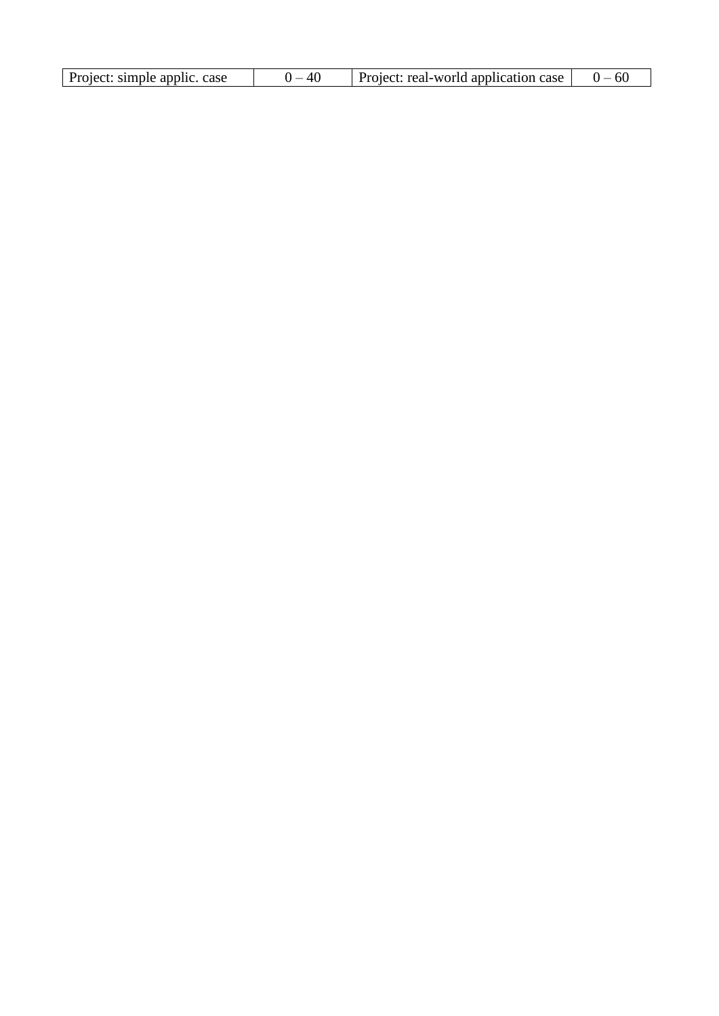| Project: simple applic. case | $\Delta$ f | Project: real-world application case |  |
|------------------------------|------------|--------------------------------------|--|
|------------------------------|------------|--------------------------------------|--|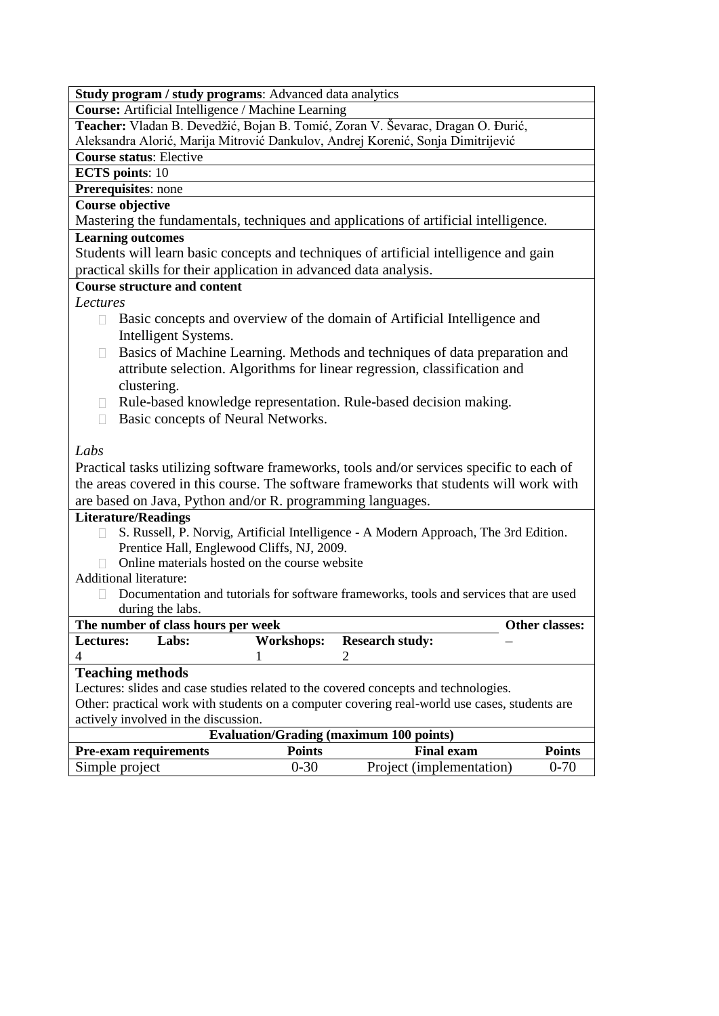| <b>Study program / study programs:</b> Advanced data analytics                                             |
|------------------------------------------------------------------------------------------------------------|
| Course: Artificial Intelligence / Machine Learning                                                         |
| Teacher: Vladan B. Devedžić, Bojan B. Tomić, Zoran V. Ševarac, Dragan O. Đurić,                            |
| Aleksandra Alorić, Marija Mitrović Dankulov, Andrej Korenić, Sonja Dimitrijević                            |
| <b>Course status: Elective</b>                                                                             |
| <b>ECTS</b> points: 10                                                                                     |
| Prerequisites: none                                                                                        |
| <b>Course objective</b>                                                                                    |
| Mastering the fundamentals, techniques and applications of artificial intelligence.                        |
| <b>Learning outcomes</b>                                                                                   |
| Students will learn basic concepts and techniques of artificial intelligence and gain                      |
| practical skills for their application in advanced data analysis.                                          |
| <b>Course structure and content</b>                                                                        |
| Lectures                                                                                                   |
| Basic concepts and overview of the domain of Artificial Intelligence and<br>$\Box$<br>Intelligent Systems. |
| Basics of Machine Learning. Methods and techniques of data preparation and<br>$\Box$                       |
| attribute selection. Algorithms for linear regression, classification and                                  |
| clustering.                                                                                                |
| Rule-based knowledge representation. Rule-based decision making.<br>$\Box$                                 |
| Basic concepts of Neural Networks.<br>П                                                                    |
|                                                                                                            |
| Labs                                                                                                       |
|                                                                                                            |
| Practical tasks utilizing software frameworks, tools and/or services specific to each of                   |
| the areas covered in this course. The software frameworks that students will work with                     |
| are based on Java, Python and/or R. programming languages.                                                 |
| <b>Literature/Readings</b>                                                                                 |
| S. Russell, P. Norvig, Artificial Intelligence - A Modern Approach, The 3rd Edition.                       |
| Prentice Hall, Englewood Cliffs, NJ, 2009.<br>Online materials hosted on the course website                |
| <b>Additional literature:</b>                                                                              |
|                                                                                                            |
| Documentation and tutorials for software frameworks, tools and services that are used                      |
| during the labs.<br>The number of class hours per week<br>Other classes:                                   |
| Labs:<br><b>Research study:</b><br><b>Workshops:</b><br><b>Lectures:</b>                                   |
| 4<br>2                                                                                                     |
| <b>Teaching methods</b>                                                                                    |
| Lectures: slides and case studies related to the covered concepts and technologies.                        |
| Other: practical work with students on a computer covering real-world use cases, students are              |
| actively involved in the discussion.                                                                       |
| <b>Evaluation/Grading (maximum 100 points)</b>                                                             |
| <b>Points</b><br><b>Points</b><br><b>Final exam</b><br><b>Pre-exam requirements</b>                        |
| $0 - 30$<br>Simple project<br>Project (implementation)<br>$0 - 70$                                         |
|                                                                                                            |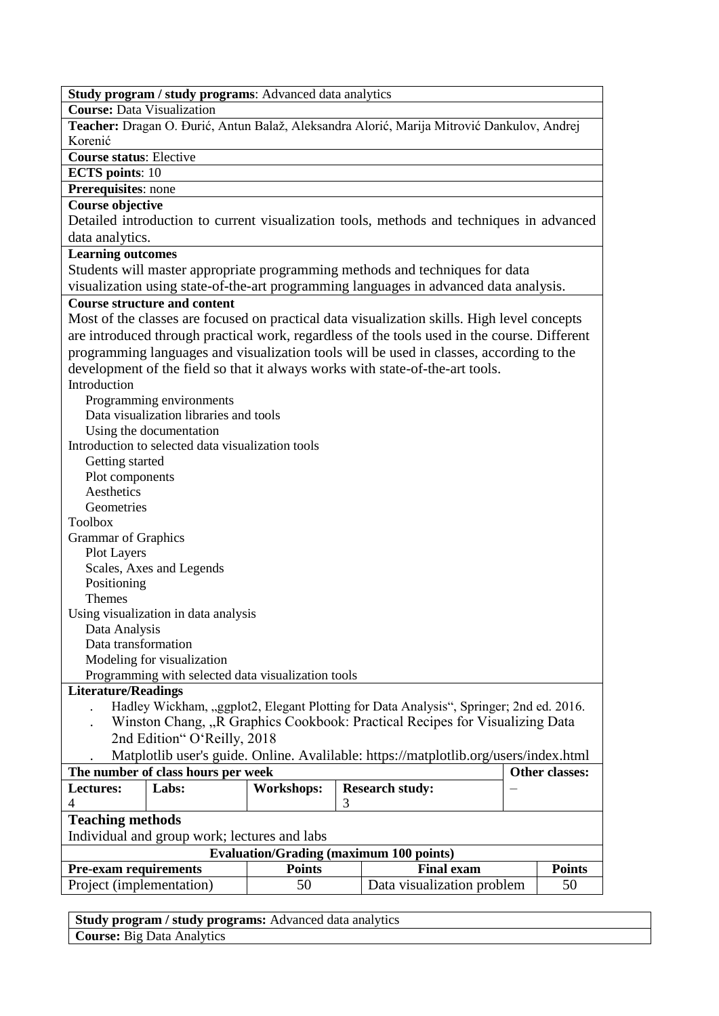| Study program / study programs: Advanced data analytics                                      |                   |   |                                                                                        |  |                |
|----------------------------------------------------------------------------------------------|-------------------|---|----------------------------------------------------------------------------------------|--|----------------|
| <b>Course: Data Visualization</b>                                                            |                   |   |                                                                                        |  |                |
|                                                                                              |                   |   |                                                                                        |  |                |
| Teacher: Dragan O. Đurić, Antun Balaž, Aleksandra Alorić, Marija Mitrović Dankulov, Andrej   |                   |   |                                                                                        |  |                |
| Korenić                                                                                      |                   |   |                                                                                        |  |                |
| <b>Course status: Elective</b>                                                               |                   |   |                                                                                        |  |                |
| <b>ECTS</b> points: 10                                                                       |                   |   |                                                                                        |  |                |
| Prerequisites: none                                                                          |                   |   |                                                                                        |  |                |
| <b>Course objective</b>                                                                      |                   |   |                                                                                        |  |                |
| Detailed introduction to current visualization tools, methods and techniques in advanced     |                   |   |                                                                                        |  |                |
| data analytics.                                                                              |                   |   |                                                                                        |  |                |
| <b>Learning outcomes</b>                                                                     |                   |   |                                                                                        |  |                |
| Students will master appropriate programming methods and techniques for data                 |                   |   |                                                                                        |  |                |
| visualization using state-of-the-art programming languages in advanced data analysis.        |                   |   |                                                                                        |  |                |
| <b>Course structure and content</b>                                                          |                   |   |                                                                                        |  |                |
| Most of the classes are focused on practical data visualization skills. High level concepts  |                   |   |                                                                                        |  |                |
| are introduced through practical work, regardless of the tools used in the course. Different |                   |   |                                                                                        |  |                |
| programming languages and visualization tools will be used in classes, according to the      |                   |   |                                                                                        |  |                |
| development of the field so that it always works with state-of-the-art tools.                |                   |   |                                                                                        |  |                |
| Introduction                                                                                 |                   |   |                                                                                        |  |                |
| Programming environments                                                                     |                   |   |                                                                                        |  |                |
| Data visualization libraries and tools                                                       |                   |   |                                                                                        |  |                |
| Using the documentation                                                                      |                   |   |                                                                                        |  |                |
| Introduction to selected data visualization tools                                            |                   |   |                                                                                        |  |                |
| Getting started                                                                              |                   |   |                                                                                        |  |                |
| Plot components                                                                              |                   |   |                                                                                        |  |                |
| Aesthetics                                                                                   |                   |   |                                                                                        |  |                |
| Geometries                                                                                   |                   |   |                                                                                        |  |                |
| <b>Toolbox</b>                                                                               |                   |   |                                                                                        |  |                |
| <b>Grammar of Graphics</b>                                                                   |                   |   |                                                                                        |  |                |
| <b>Plot Layers</b>                                                                           |                   |   |                                                                                        |  |                |
| Scales, Axes and Legends                                                                     |                   |   |                                                                                        |  |                |
| Positioning                                                                                  |                   |   |                                                                                        |  |                |
| <b>Themes</b>                                                                                |                   |   |                                                                                        |  |                |
| Using visualization in data analysis                                                         |                   |   |                                                                                        |  |                |
| Data Analysis                                                                                |                   |   |                                                                                        |  |                |
| Data transformation                                                                          |                   |   |                                                                                        |  |                |
| Modeling for visualization                                                                   |                   |   |                                                                                        |  |                |
| Programming with selected data visualization tools                                           |                   |   |                                                                                        |  |                |
| <b>Literature/Readings</b>                                                                   |                   |   |                                                                                        |  |                |
|                                                                                              |                   |   | Hadley Wickham, "ggplot2, Elegant Plotting for Data Analysis", Springer; 2nd ed. 2016. |  |                |
|                                                                                              |                   |   | Winston Chang, "R Graphics Cookbook: Practical Recipes for Visualizing Data            |  |                |
| 2nd Edition" O'Reilly, 2018                                                                  |                   |   |                                                                                        |  |                |
| Matplotlib user's guide. Online. Avalilable: https://matplotlib.org/users/index.html         |                   |   |                                                                                        |  |                |
| The number of class hours per week                                                           |                   |   |                                                                                        |  | Other classes: |
| Lectures:<br>Labs:                                                                           | <b>Workshops:</b> |   | <b>Research study:</b>                                                                 |  |                |
| 4                                                                                            |                   | 3 |                                                                                        |  |                |
| <b>Teaching methods</b>                                                                      |                   |   |                                                                                        |  |                |
| Individual and group work; lectures and labs                                                 |                   |   |                                                                                        |  |                |
| <b>Evaluation/Grading (maximum 100 points)</b>                                               |                   |   |                                                                                        |  |                |
|                                                                                              | <b>Points</b>     |   | <b>Final exam</b>                                                                      |  | <b>Points</b>  |
| <b>Pre-exam requirements</b><br>Project (implementation)                                     | 50                |   | Data visualization problem                                                             |  | 50             |
|                                                                                              |                   |   |                                                                                        |  |                |

**Study program / study programs:** Advanced data analytics **Course:** Big Data Analytics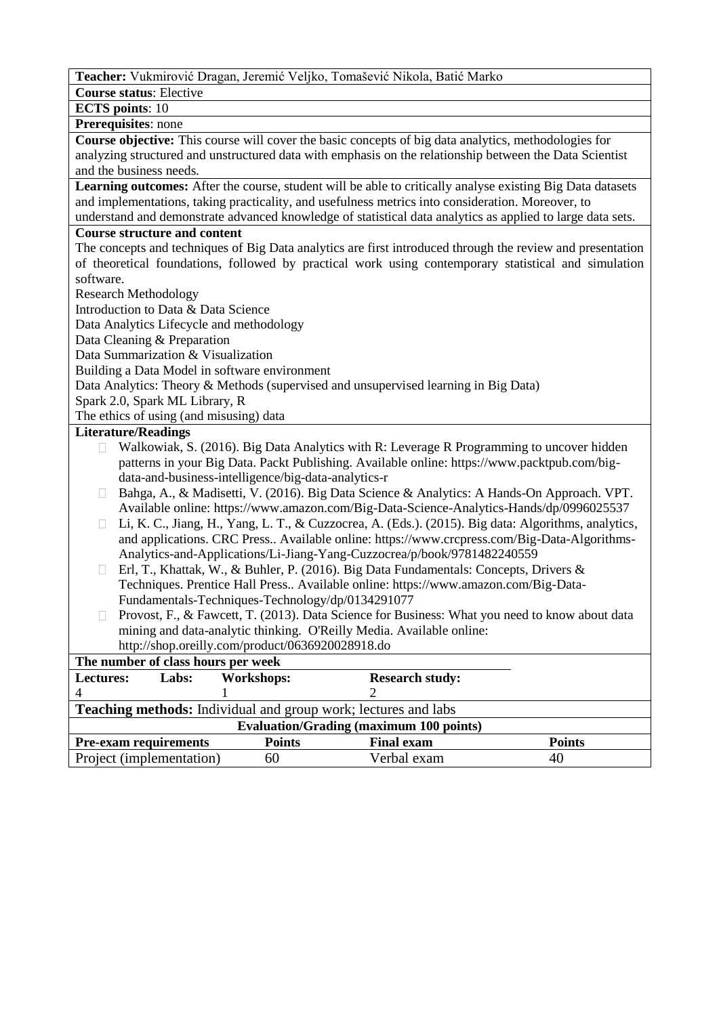**Teacher:** Vukmirović Dragan, Jeremić Veljko, Tomašević Nikola, Batić Marko

**Course status**: Elective

**ECTS points**: 10

**Prerequisites**: none

**Course objective:** This course will cover the basic concepts of big data analytics, methodologies for analyzing structured and unstructured data with emphasis on the relationship between the Data Scientist and the business needs.

**Learning outcomes:** After the course, student will be able to critically analyse existing Big Data datasets and implementations, taking practicality, and usefulness metrics into consideration. Moreover, to understand and demonstrate advanced knowledge of statistical data analytics as applied to large data sets.

### **Course structure and content**

The concepts and techniques of Big Data analytics are first introduced through the review and presentation of theoretical foundations, followed by practical work using contemporary statistical and simulation software.

Research Methodology

Introduction to Data & Data Science

Data Analytics Lifecycle and methodology

Data Cleaning & Preparation

Data Summarization & Visualization

Building a Data Model in software environment

Data Analytics: Theory & Methods (supervised and unsupervised learning in Big Data)

Spark 2.0, Spark ML Library, R

The ethics of using (and misusing) data

- $\Box$  Walkowiak, S. (2016). Big Data Analytics with R: Leverage R Programming to uncover hidden patterns in your Big Data. Packt Publishing. Available online: https://www.packtpub.com/bigdata-and-business-intelligence/big-data-analytics-r
- □ Bahga, A., & Madisetti, V. (2016). Big Data Science & Analytics: A Hands-On Approach. VPT. Available online: https://www.amazon.com/Big-Data-Science-Analytics-Hands/dp/0996025537
- □ Li, K. C., Jiang, H., Yang, L. T., & Cuzzocrea, A. (Eds.). (2015). Big data: Algorithms, analytics, and applications. CRC Press.. Available online: https://www.crcpress.com/Big-Data-Algorithms-Analytics-and-Applications/Li-Jiang-Yang-Cuzzocrea/p/book/9781482240559
- Erl, T., Khattak, W., & Buhler, P. (2016). Big Data Fundamentals: Concepts, Drivers & Techniques. Prentice Hall Press.. Available online: https://www.amazon.com/Big-Data-Fundamentals-Techniques-Technology/dp/0134291077
- **Provost, F., & Fawcett, T. (2013). Data Science for Business: What you need to know about data** mining and data-analytic thinking. O'Reilly Media. Available online: http://shop.oreilly.com/product/0636920028918.do

| The number of class hours per week                                                  |            |                                                                       |    |  |
|-------------------------------------------------------------------------------------|------------|-----------------------------------------------------------------------|----|--|
| <b>Lectures:</b><br>Labs:                                                           | Workshops: | <b>Research study:</b>                                                |    |  |
|                                                                                     |            |                                                                       |    |  |
|                                                                                     |            | <b>Teaching methods:</b> Individual and group work; lectures and labs |    |  |
| <b>Evaluation/Grading (maximum 100 points)</b>                                      |            |                                                                       |    |  |
| <b>Pre-exam requirements</b><br><b>Points</b><br><b>Points</b><br><b>Final exam</b> |            |                                                                       |    |  |
| Project (implementation)                                                            | 60         | Verbal exam                                                           | 40 |  |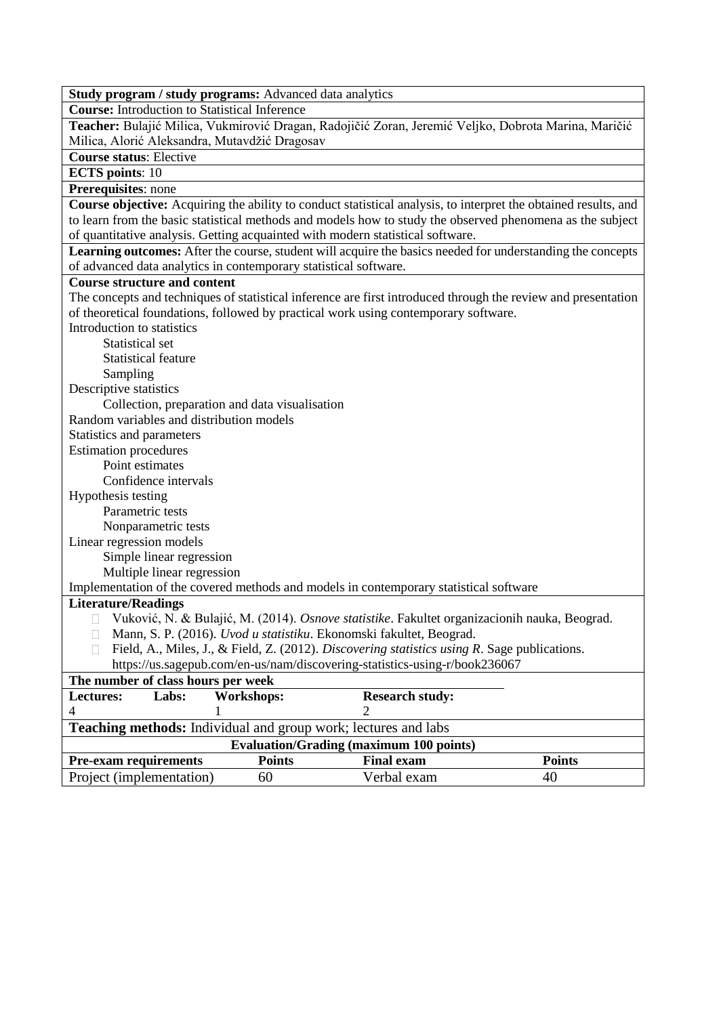**Course:** Introduction to Statistical Inference

**Teacher:** Bulajić Milica, Vukmirović Dragan, Radojičić Zoran, Jeremić Veljko, Dobrota Marina, Maričić Milica, Alorić Aleksandra, Mutavdžić Dragosav

**Course status**: Elective

**ECTS points**: 10

**Prerequisites**: none

**Course objective:** Acquiring the ability to conduct statistical analysis, to interpret the obtained results, and to learn from the basic statistical methods and models how to study the observed phenomena as the subject of quantitative analysis. Getting acquainted with modern statistical software.

**Learning outcomes:** After the course, student will acquire the basics needed for understanding the concepts of advanced data analytics in contemporary statistical software.

### **Course structure and content**

The concepts and techniques of statistical inference are first introduced through the review and presentation of theoretical foundations, followed by practical work using contemporary software. Introduction to statistics Statistical set Statistical feature Sampling Descriptive statistics Collection, preparation and data visualisation Random variables and distribution models Statistics and parameters Estimation procedures Point estimates Confidence intervals Hypothesis testing Parametric tests Nonparametric tests Linear regression models Simple linear regression Multiple linear regression Implementation of the covered methods and models in contemporary statistical software **Literature/Readings** Vuković, N. & Bulajić, М. (2014). *Osnove statistike*. Fakultet organizacionih nauka, Beograd. Mann, S. P. (2016). *Uvod u statistiku*. Ekonomski fakultet, Beograd. Field, A., Miles, J., & Field, Z. (2012). *Discovering statistics using R*. Sage publications. https://us.sagepub.com/en-us/nam/discovering-statistics-using-r/book236067 **The number of class hours per week**

| Lectures:                                      | Labs:                                                                 | Workshops:    | <b>Research study:</b> |               |  |
|------------------------------------------------|-----------------------------------------------------------------------|---------------|------------------------|---------------|--|
|                                                |                                                                       |               |                        |               |  |
|                                                | <b>Teaching methods:</b> Individual and group work; lectures and labs |               |                        |               |  |
| <b>Evaluation/Grading (maximum 100 points)</b> |                                                                       |               |                        |               |  |
| <b>Pre-exam requirements</b>                   |                                                                       | <b>Points</b> | <b>Final exam</b>      | <b>Points</b> |  |
| Project (implementation)                       |                                                                       | 60            | Verbal exam            | 40            |  |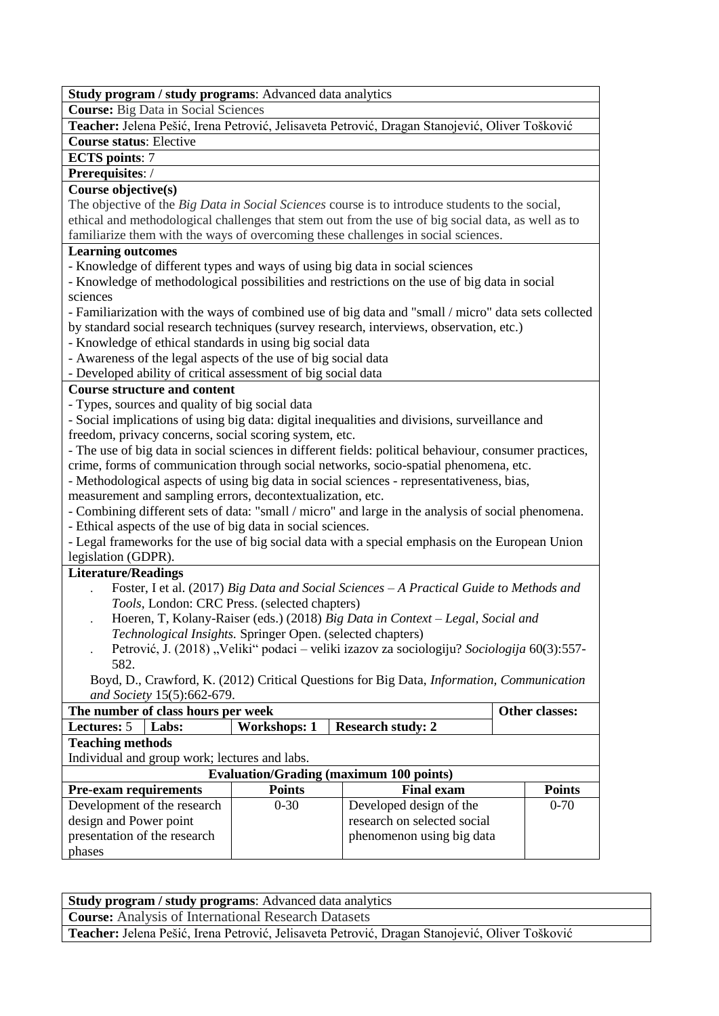**Course:** Big Data in Social Sciences

**Teacher:** Jelena Pešić, Irena Petrović, Jelisaveta Petrović, Dragan Stanojević, Oliver Tošković

# **Course status**: Elective

**ECTS points**: 7

# **Prerequisites**: /

### **Course objective(s)**

The objective of the *Big Data in Social Sciences* course is to introduce students to the social, ethical and methodological challenges that stem out from the use of big social data, as well as to familiarize them with the ways of overcoming these challenges in social sciences.

## **Learning outcomes**

- Knowledge of different types and ways of using big data in social sciences

- Knowledge of methodological possibilities and restrictions on the use of big data in social sciences

- Familiarization with the ways of combined use of big data and "small / micro" data sets collected by standard social research techniques (survey research, interviews, observation, etc.)

- Knowledge of ethical standards in using big social data
- Awareness of the legal aspects of the use of big social data
- Developed ability of critical assessment of big social data

## **Course structure and content**

- Types, sources and quality of big social data

- Social implications of using big data: digital inequalities and divisions, surveillance and freedom, privacy concerns, social scoring system, etc.

- The use of big data in social sciences in different fields: political behaviour, consumer practices, crime, forms of communication through social networks, socio-spatial phenomena, etc.

- Methodological aspects of using big data in social sciences - representativeness, bias,

measurement and sampling errors, decontextualization, etc.

- Combining different sets of data: "small / micro" and large in the analysis of social phenomena.

- Ethical aspects of the use of big data in social sciences.

- Legal frameworks for the use of big social data with a special emphasis on the European Union legislation (GDPR).

## **Literature/Readings**

- . Foster, I et al. (2017) *Big Data and Social Sciences – A Practical Guide to Methods and Tools*, London: CRC Press. (selected chapters)
- . Hoeren, T, Kolany-Raiser (eds.) (2018) *Big Data in Context – Legal, Social and Technological Insights.* Springer Open. (selected chapters)
- Petrović, J. (2018) "Veliki" podaci veliki izazov za sociologiju? *Sociologija* 60(3):557-582.

Boyd, D., Crawford, K. (2012) Critical Questions for Big Data, *Information, Communication and Society* 15(5):662-679.

| The number of class hours per week                    | Other classes:                                |                     |                                                |               |
|-------------------------------------------------------|-----------------------------------------------|---------------------|------------------------------------------------|---------------|
| <b>Lectures:</b> 5                                    | Labs:                                         | <b>Workshops: 1</b> | <b>Research study: 2</b>                       |               |
| <b>Teaching methods</b>                               |                                               |                     |                                                |               |
|                                                       | Individual and group work; lectures and labs. |                     |                                                |               |
|                                                       |                                               |                     | <b>Evaluation/Grading (maximum 100 points)</b> |               |
| <b>Pre-exam requirements</b>                          |                                               | <b>Points</b>       | <b>Final exam</b>                              | <b>Points</b> |
|                                                       | Development of the research                   | $0 - 30$            | Developed design of the                        | $0 - 70$      |
| research on selected social<br>design and Power point |                                               |                     |                                                |               |
| presentation of the research                          |                                               |                     | phenomenon using big data                      |               |
| phases                                                |                                               |                     |                                                |               |

| Study program / study programs: Advanced data analytics                                        |
|------------------------------------------------------------------------------------------------|
| <b>Course:</b> Analysis of International Research Datasets                                     |
| Teacher: Jelena Pešić, Irena Petrović, Jelisaveta Petrović, Dragan Stanojević, Oliver Tošković |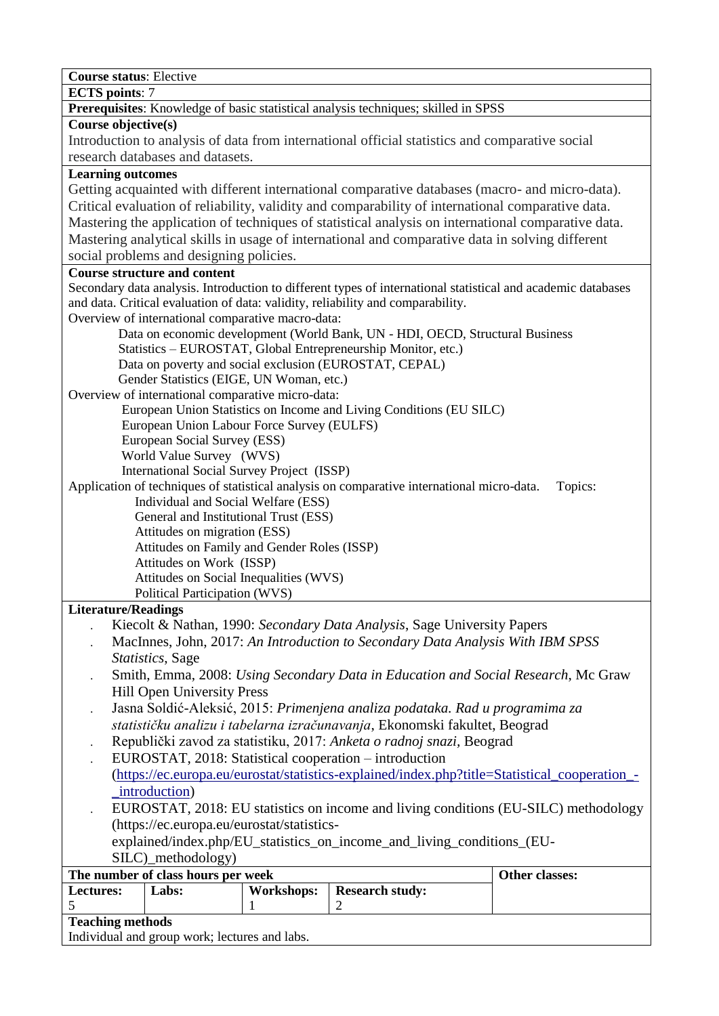| <b>Course status: Elective</b>                                                                                                                     |                                                                                |                   |                                                                                            |                                                                                                              |
|----------------------------------------------------------------------------------------------------------------------------------------------------|--------------------------------------------------------------------------------|-------------------|--------------------------------------------------------------------------------------------|--------------------------------------------------------------------------------------------------------------|
| <b>ECTS</b> points: 7                                                                                                                              |                                                                                |                   | Prerequisites: Knowledge of basic statistical analysis techniques; skilled in SPSS         |                                                                                                              |
| Course objective(s)                                                                                                                                |                                                                                |                   |                                                                                            |                                                                                                              |
|                                                                                                                                                    |                                                                                |                   |                                                                                            | Introduction to analysis of data from international official statistics and comparative social               |
|                                                                                                                                                    | research databases and datasets.                                               |                   |                                                                                            |                                                                                                              |
| <b>Learning outcomes</b>                                                                                                                           |                                                                                |                   |                                                                                            |                                                                                                              |
|                                                                                                                                                    |                                                                                |                   |                                                                                            | Getting acquainted with different international comparative databases (macro- and micro-data).               |
|                                                                                                                                                    |                                                                                |                   |                                                                                            | Critical evaluation of reliability, validity and comparability of international comparative data.            |
|                                                                                                                                                    |                                                                                |                   |                                                                                            | Mastering the application of techniques of statistical analysis on international comparative data.           |
|                                                                                                                                                    |                                                                                |                   |                                                                                            | Mastering analytical skills in usage of international and comparative data in solving different              |
|                                                                                                                                                    | social problems and designing policies.                                        |                   |                                                                                            |                                                                                                              |
|                                                                                                                                                    | <b>Course structure and content</b>                                            |                   |                                                                                            |                                                                                                              |
|                                                                                                                                                    |                                                                                |                   |                                                                                            | Secondary data analysis. Introduction to different types of international statistical and academic databases |
|                                                                                                                                                    |                                                                                |                   | and data. Critical evaluation of data: validity, reliability and comparability.            |                                                                                                              |
|                                                                                                                                                    | Overview of international comparative macro-data:                              |                   |                                                                                            |                                                                                                              |
|                                                                                                                                                    |                                                                                |                   | Data on economic development (World Bank, UN - HDI, OECD, Structural Business              |                                                                                                              |
|                                                                                                                                                    |                                                                                |                   | Statistics - EUROSTAT, Global Entrepreneurship Monitor, etc.)                              |                                                                                                              |
|                                                                                                                                                    |                                                                                |                   | Data on poverty and social exclusion (EUROSTAT, CEPAL)                                     |                                                                                                              |
|                                                                                                                                                    | Gender Statistics (EIGE, UN Woman, etc.)                                       |                   |                                                                                            |                                                                                                              |
|                                                                                                                                                    | Overview of international comparative micro-data:                              |                   |                                                                                            |                                                                                                              |
|                                                                                                                                                    | European Union Labour Force Survey (EULFS)                                     |                   | European Union Statistics on Income and Living Conditions (EU SILC)                        |                                                                                                              |
|                                                                                                                                                    | European Social Survey (ESS)                                                   |                   |                                                                                            |                                                                                                              |
|                                                                                                                                                    | World Value Survey (WVS)                                                       |                   |                                                                                            |                                                                                                              |
|                                                                                                                                                    | International Social Survey Project (ISSP)                                     |                   |                                                                                            |                                                                                                              |
|                                                                                                                                                    |                                                                                |                   | Application of techniques of statistical analysis on comparative international micro-data. | Topics:                                                                                                      |
|                                                                                                                                                    | Individual and Social Welfare (ESS)                                            |                   |                                                                                            |                                                                                                              |
|                                                                                                                                                    | General and Institutional Trust (ESS)                                          |                   |                                                                                            |                                                                                                              |
|                                                                                                                                                    | Attitudes on migration (ESS)                                                   |                   |                                                                                            |                                                                                                              |
|                                                                                                                                                    | Attitudes on Family and Gender Roles (ISSP)                                    |                   |                                                                                            |                                                                                                              |
|                                                                                                                                                    | Attitudes on Work (ISSP)                                                       |                   |                                                                                            |                                                                                                              |
|                                                                                                                                                    | Attitudes on Social Inequalities (WVS)<br><b>Political Participation (WVS)</b> |                   |                                                                                            |                                                                                                              |
| <b>Literature/Readings</b>                                                                                                                         |                                                                                |                   |                                                                                            |                                                                                                              |
|                                                                                                                                                    |                                                                                |                   | Kiecolt & Nathan, 1990: Secondary Data Analysis, Sage University Papers                    |                                                                                                              |
|                                                                                                                                                    |                                                                                |                   |                                                                                            | MacInnes, John, 2017: An Introduction to Secondary Data Analysis With IBM SPSS                               |
|                                                                                                                                                    | Statistics, Sage                                                               |                   |                                                                                            |                                                                                                              |
|                                                                                                                                                    |                                                                                |                   |                                                                                            | Smith, Emma, 2008: Using Secondary Data in Education and Social Research, Mc Graw                            |
|                                                                                                                                                    | <b>Hill Open University Press</b>                                              |                   |                                                                                            |                                                                                                              |
|                                                                                                                                                    |                                                                                |                   | Jasna Soldić-Aleksić, 2015: Primenjena analiza podataka. Rad u programima za               |                                                                                                              |
|                                                                                                                                                    |                                                                                |                   |                                                                                            |                                                                                                              |
| statističku analizu i tabelarna izračunavanja, Ekonomski fakultet, Beograd<br>Republički zavod za statistiku, 2017: Anketa o radnoj snazi, Beograd |                                                                                |                   |                                                                                            |                                                                                                              |
| EUROSTAT, 2018: Statistical cooperation – introduction                                                                                             |                                                                                |                   |                                                                                            |                                                                                                              |
| (https://ec.europa.eu/eurostat/statistics-explained/index.php?title=Statistical_cooperation_-                                                      |                                                                                |                   |                                                                                            |                                                                                                              |
| _introduction)                                                                                                                                     |                                                                                |                   |                                                                                            |                                                                                                              |
| EUROSTAT, 2018: EU statistics on income and living conditions (EU-SILC) methodology                                                                |                                                                                |                   |                                                                                            |                                                                                                              |
| (https://ec.europa.eu/eurostat/statistics-                                                                                                         |                                                                                |                   |                                                                                            |                                                                                                              |
| explained/index.php/EU_statistics_on_income_and_living_conditions_(EU-                                                                             |                                                                                |                   |                                                                                            |                                                                                                              |
| SILC)_methodology)                                                                                                                                 |                                                                                |                   |                                                                                            |                                                                                                              |
| Other classes:<br>The number of class hours per week                                                                                               |                                                                                |                   |                                                                                            |                                                                                                              |
| Lectures:                                                                                                                                          | Labs:                                                                          | <b>Workshops:</b> | <b>Research study:</b>                                                                     |                                                                                                              |
| 5                                                                                                                                                  |                                                                                | 1                 | $\overline{2}$                                                                             |                                                                                                              |
| <b>Teaching methods</b>                                                                                                                            |                                                                                |                   |                                                                                            |                                                                                                              |
| Individual and group work; lectures and labs.                                                                                                      |                                                                                |                   |                                                                                            |                                                                                                              |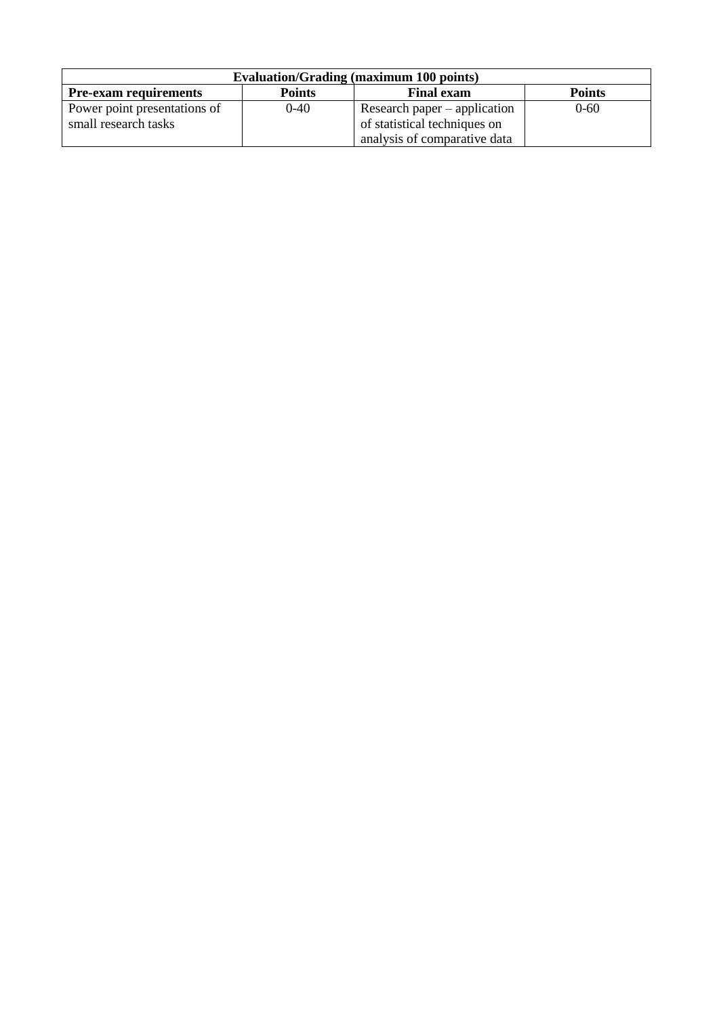| <b>Evaluation/Grading (maximum 100 points)</b>                                      |          |                                |          |  |
|-------------------------------------------------------------------------------------|----------|--------------------------------|----------|--|
| <b>Points</b><br><b>Points</b><br><b>Pre-exam requirements</b><br><b>Final exam</b> |          |                                |          |  |
| Power point presentations of                                                        | $0 - 40$ | Research paper $-$ application | $0 - 60$ |  |
| small research tasks                                                                |          | of statistical techniques on   |          |  |
|                                                                                     |          | analysis of comparative data   |          |  |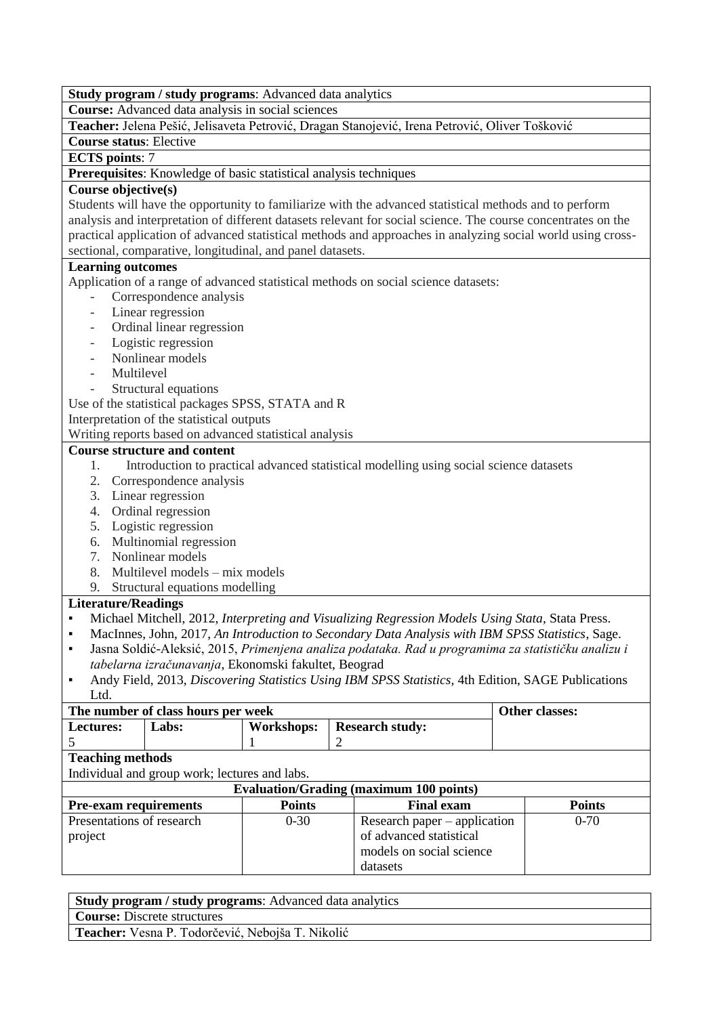**Course:** Advanced data analysis in social sciences

**Teacher:** Jelena Pešić, Jelisaveta Petrović, Dragan Stanojević, Irena Petrović, Oliver Tošković

**Course status**: Elective

**ECTS points**: 7

**Prerequisites**: Knowledge of basic statistical analysis techniques

### **Course objective(s)**

Students will have the opportunity to familiarize with the advanced statistical methods and to perform analysis and interpretation of different datasets relevant for social science. The course concentrates on the practical application of advanced statistical methods and approaches in analyzing social world using crosssectional, comparative, longitudinal, and panel datasets.

#### **Learning outcomes**

Application of a range of advanced statistical methods on social science datasets:

- Correspondence analysis
- Linear regression
- Ordinal linear regression
- Logistic regression
- Nonlinear models
- Multilevel
- Structural equations

Use of the statistical packages SPSS, STATA and R

Interpretation of the statistical outputs

Writing reports based on advanced statistical analysis

#### **Course structure and content**

- 1. Introduction to practical advanced statistical modelling using social science datasets
- 2. Correspondence analysis
- 3. Linear regression
- 4. Ordinal regression
- 5. Logistic regression
- 6. Multinomial regression
- 7. Nonlinear models
- 8. Multilevel models mix models
- 9. Structural equations modelling

- Michael Mitchell, 2012, *Interpreting and Visualizing Regression Models Using Stata,* Stata Press.
- MacInnes, John, 2017, *An Introduction to Secondary Data Analysis with IBM SPSS Statistics*, Sage.
- Jasna Soldić-Aleksić, 2015, *Primenjena analiza podataka. Rad u programima za statističku analizu i tabelarna izračunavanja*, Ekonomski fakultet, Beograd
- Andy Field, 2013, *Discovering Statistics Using IBM SPSS Statistics,* 4th Edition, SAGE Publications Ltd.

| The number of class hours per week                                 |                                               |                                             |                              | Other classes: |
|--------------------------------------------------------------------|-----------------------------------------------|---------------------------------------------|------------------------------|----------------|
| Lectures:                                                          | Labs:                                         | <b>Workshops:</b><br><b>Research study:</b> |                              |                |
|                                                                    |                                               |                                             |                              |                |
| <b>Teaching methods</b>                                            |                                               |                                             |                              |                |
|                                                                    | Individual and group work; lectures and labs. |                                             |                              |                |
| <b>Evaluation/Grading (maximum 100 points)</b>                     |                                               |                                             |                              |                |
| <b>Pre-exam requirements</b><br><b>Points</b><br><b>Final exam</b> |                                               |                                             |                              | <b>Points</b>  |
| Presentations of research                                          |                                               | $0 - 30$                                    | Research paper – application | $0 - 70$       |
| project                                                            |                                               | of advanced statistical                     |                              |                |
|                                                                    |                                               |                                             | models on social science     |                |
|                                                                    |                                               |                                             | datasets                     |                |

| <b>Study program / study programs:</b> Advanced data analytics |
|----------------------------------------------------------------|
| <b>Course:</b> Discrete structures                             |
| Teacher: Vesna P. Todorčević, Nebojša T. Nikolić               |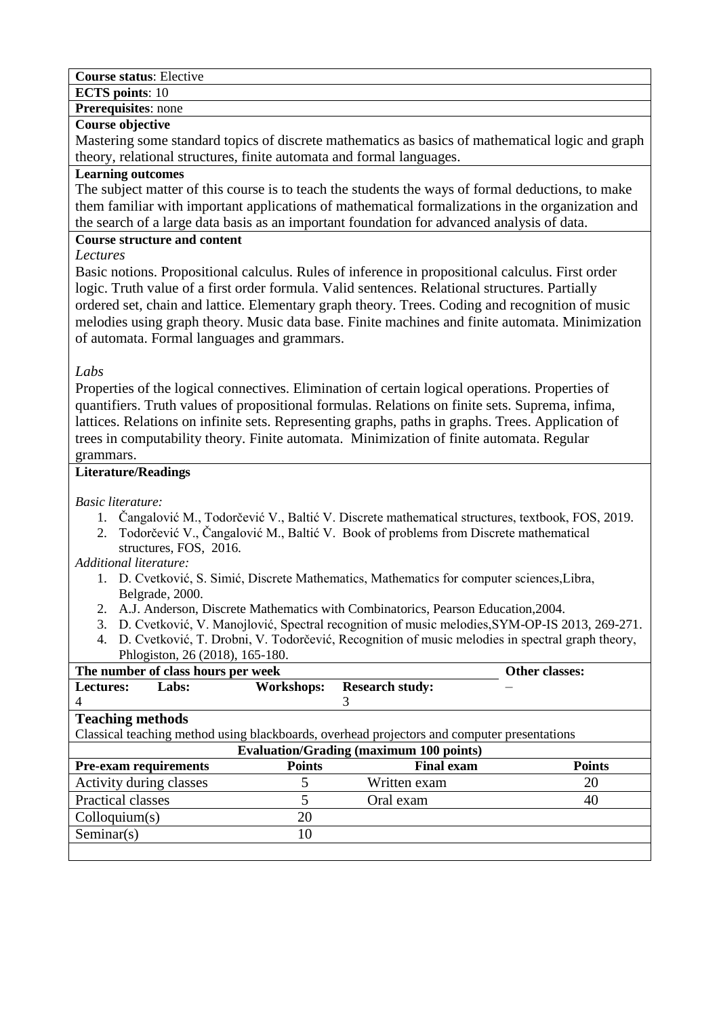**Course status**: Elective

**ECTS points**: 10

### **Prerequisites**: none

### **Course objective**

Mastering some standard topics of discrete mathematics as basics of mathematical logic and graph theory, relational structures, finite automata and formal languages.

### **Learning outcomes**

The subject matter of this course is to teach the students the ways of formal deductions, to make them familiar with important applications of mathematical formalizations in the organization and the search of a large data basis as an important foundation for advanced analysis of data.

# **Course structure and content**

*Lectures* 

Basic notions. Propositional calculus. Rules of inference in propositional calculus. First order logic. Truth value of a first order formula. Valid sentences. Relational structures. Partially ordered set, chain and lattice. Elementary graph theory. Trees. Coding and recognition of music melodies using graph theory. Music data base. Finite machines and finite automata. Minimization of automata. Formal languages and grammars.

## *Labs*

Properties of the logical connectives. Elimination of certain logical operations. Properties of quantifiers. Truth values of propositional formulas. Relations on finite sets. Suprema, infima, lattices. Relations on infinite sets. Representing graphs, paths in graphs. Trees. Application of trees in computability theory. Finite automata. Minimization of finite automata. Regular grammars.

## **Literature/Readings**

*Basic literature:*

- 1. Čangalović M., Todorčević V., Baltić V. Discrete mathematical structures, textbook, FOS, 2019.
- 2. Todorčević V., Čangalović M., Baltić V. Book of problems from Discrete mathematical structures, FOS, 2016.
- *Additional literature:* 
	- 1. D. Cvetković, S. Simić, Discrete Mathematics, Mathematics for computer sciences,Libra, Belgrade, 2000.
	- 2. A.J. Anderson, Discrete Mathematics with Combinatorics, Pearson Education,2004.
	- 3. D. Cvetković, V. Manojlović, Spectral recognition of music melodies,SYM-OP-IS 2013, 269-271.
	- 4. D. Cvetković, Т. Drobni, V. Тоdorčević, Recognition of music melodies in spectral graph theory, Phlogiston, 26 (2018), 165-180.

| The number of class hours per week |       |                   | Other classes:                                                                              |               |
|------------------------------------|-------|-------------------|---------------------------------------------------------------------------------------------|---------------|
| <b>Lectures:</b>                   | Labs: | <b>Workshops:</b> | <b>Research study:</b>                                                                      |               |
| 4                                  |       |                   |                                                                                             |               |
| <b>Teaching methods</b>            |       |                   |                                                                                             |               |
|                                    |       |                   | Classical teaching method using blackboards, overhead projectors and computer presentations |               |
|                                    |       |                   | <b>Evaluation/Grading (maximum 100 points)</b>                                              |               |
| <b>Pre-exam requirements</b>       |       | <b>Points</b>     | <b>Final exam</b>                                                                           | <b>Points</b> |
| Activity during classes            |       |                   | Written exam                                                                                | 20            |
| Practical classes                  |       |                   | Oral exam                                                                                   | 40            |
| Colloquium(s)                      |       | 20                |                                                                                             |               |
| Seminar(s)                         |       | 10                |                                                                                             |               |
|                                    |       |                   |                                                                                             |               |